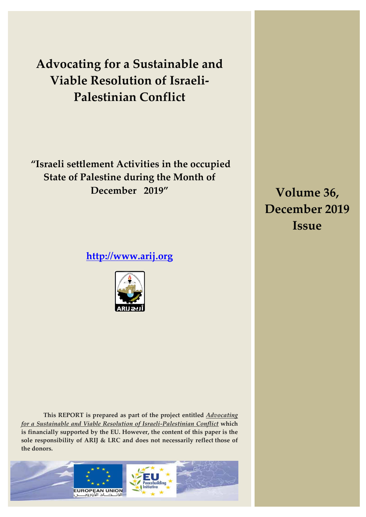**Advocating for a Sustainable and Viable Resolution of Israeli-Palestinian Conflict**

**"Israeli settlement Activities in the occupied State of Palestine during the Month of December 2019"**

**[http://www.arij.org](http://www.arij.org/)**



**Volume 36, December 2019 Issue**

**This REPORT is prepared as part of the project entitled** *Advocating for a Sustainable and Viable Resolution of Israeli-Palestinian Conflict* **which is financially supported by the EU. However, the content of this paper is the sole responsibility of ARIJ & LRC and does not necessarily reflect those of the donors.** 

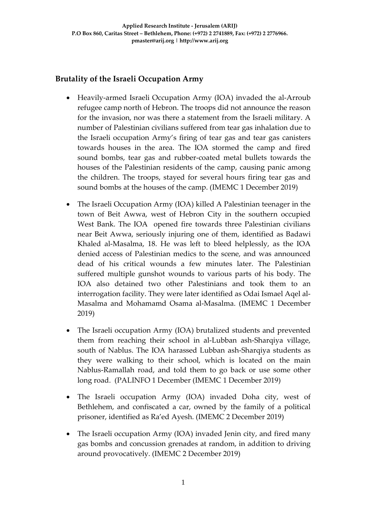# **Brutality of the Israeli Occupation Army**

- Heavily-armed Israeli Occupation Army (IOA) invaded the al-Arroub refugee camp north of Hebron. The troops did not announce the reason for the invasion, nor was there a statement from the Israeli military. A number of Palestinian civilians suffered from tear gas inhalation due to the Israeli occupation Army's firing of tear gas and tear gas canisters towards houses in the area. The IOA stormed the camp and fired sound bombs, tear gas and rubber-coated metal bullets towards the houses of the Palestinian residents of the camp, causing panic among the children. The troops, stayed for several hours firing tear gas and sound bombs at the houses of the camp. (IMEMC 1 December 2019)
- The Israeli Occupation Army (IOA) killed A Palestinian teenager in the town of Beit Awwa, west of Hebron City in the southern occupied West Bank. The IOA opened fire towards three Palestinian civilians near Beit Awwa, seriously injuring one of them, identified as Badawi Khaled al-Masalma, 18. He was left to bleed helplessly, as the IOA denied access of Palestinian medics to the scene, and was announced dead of his critical wounds a few minutes later. The Palestinian suffered multiple gunshot wounds to various parts of his body. The IOA also detained two other Palestinians and took them to an interrogation facility. They were later identified as Odai Ismael Aqel al-Masalma and Mohamamd Osama al-Masalma. (IMEMC 1 December 2019)
- The Israeli occupation Army (IOA) brutalized students and prevented them from reaching their school in al-Lubban ash-Sharqiya village, south of Nablus. The IOA harassed Lubban ash-Sharqiya students as they were walking to their school, which is located on the main Nablus-Ramallah road, and told them to go back or use some other long road. (PALINFO 1 December (IMEMC 1 December 2019)
- The Israeli occupation Army (IOA) invaded Doha city, west of Bethlehem, and confiscated a car, owned by the family of a political prisoner, identified as Ra'ed Ayesh. (IMEMC 2 December 2019)
- The Israeli occupation Army (IOA) invaded Jenin city, and fired many gas bombs and concussion grenades at random, in addition to driving around provocatively. (IMEMC 2 December 2019)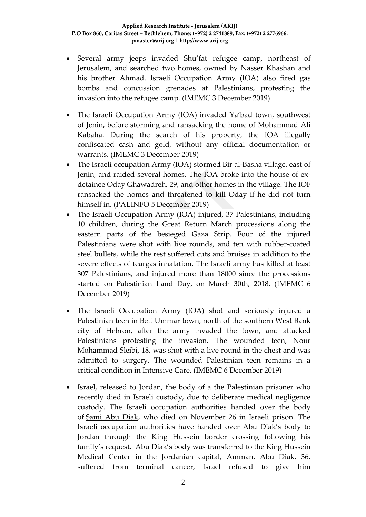- Several army jeeps invaded Shu'fat refugee camp, northeast of Jerusalem, and searched two homes, owned by Nasser Khashan and his brother Ahmad. Israeli Occupation Army (IOA) also fired gas bombs and concussion grenades at Palestinians, protesting the invasion into the refugee camp. (IMEMC 3 December 2019)
- The Israeli Occupation Army (IOA) invaded Ya'bad town, southwest of Jenin, before storming and ransacking the home of Mohammad Ali Kabaha. During the search of his property, the IOA illegally confiscated cash and gold, without any official documentation or warrants. (IMEMC 3 December 2019)
- The Israeli occupation Army (IOA) stormed Bir al-Basha village, east of Jenin, and raided several homes. The IOA broke into the house of exdetainee Oday Ghawadreh, 29, and other homes in the village. The IOF ransacked the homes and threatened to kill Oday if he did not turn himself in. (PALINFO 5 December 2019)
- The Israeli Occupation Army (IOA) injured, 37 Palestinians, including 10 children, during the Great Return March processions along the eastern parts of the besieged Gaza Strip. Four of the injured Palestinians were shot with live rounds, and ten with rubber-coated steel bullets, while the rest suffered cuts and bruises in addition to the severe effects of teargas inhalation. The Israeli army has killed at least 307 Palestinians, and injured more than 18000 since the processions started on Palestinian Land Day, on March 30th, 2018. (IMEMC 6 December 2019)
- The Israeli Occupation Army (IOA) shot and seriously injured a Palestinian teen in Beit Ummar town, north of the southern West Bank city of Hebron, after the army invaded the town, and attacked Palestinians protesting the invasion. The wounded teen, Nour Mohammad Sleibi, 18, was shot with a live round in the chest and was admitted to surgery. The wounded Palestinian teen remains in a critical condition in Intensive Care. (IMEMC 6 December 2019)
- Israel, released to Jordan, the body of a the Palestinian prisoner who recently died in Israeli custody, due to deliberate medical negligence custody. The Israeli occupation authorities handed over the body of [Sami Abu Diak,](http://imemc.org/article/after-being-denied-specialized-medical-care-detainee-dies-in-israeli-prison/) who died on November 26 in Israeli prison. The Israeli occupation authorities have handed over Abu Diak's body to Jordan through the King Hussein border crossing following his family's request. Abu Diak's body was transferred to the King Hussein Medical Center in the Jordanian capital, Amman. Abu Diak, 36, suffered from terminal cancer, Israel refused to give him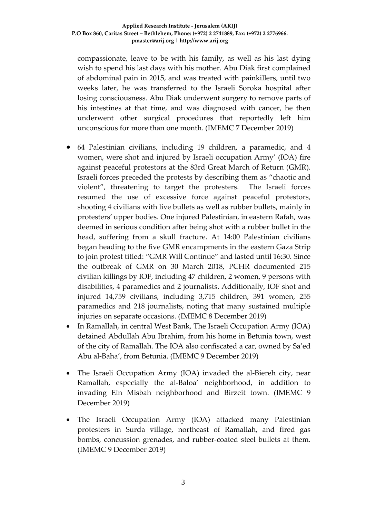compassionate, leave to be with his family, as well as his last dying wish to spend his last days with his mother. Abu Diak first complained of abdominal pain in 2015, and was treated with painkillers, until two weeks later, he was transferred to the Israeli Soroka hospital after losing consciousness. Abu Diak underwent surgery to remove parts of his intestines at that time, and was diagnosed with cancer, he then underwent other surgical procedures that reportedly left him unconscious for more than one month. (IMEMC 7 December 2019)

- 64 Palestinian civilians, including 19 children, a paramedic, and 4 women, were shot and injured by Israeli occupation Army' (IOA) fire against peaceful protestors at the 83rd Great March of Return (GMR). Israeli forces preceded the protests by describing them as "chaotic and violent", threatening to target the protesters. The Israeli forces resumed the use of excessive force against peaceful protestors, shooting 4 civilians with live bullets as well as rubber bullets, mainly in protesters' upper bodies. One injured Palestinian, in eastern Rafah, was deemed in serious condition after being shot with a rubber bullet in the head, suffering from a skull fracture. At 14:00 Palestinian civilians began heading to the five GMR encampments in the eastern Gaza Strip to join protest titled: "GMR Will Continue" and lasted until 16:30. Since the outbreak of GMR on 30 March 2018, PCHR documented 215 civilian killings by IOF, including 47 children, 2 women, 9 persons with disabilities, 4 paramedics and 2 journalists. Additionally, IOF shot and injured 14,759 civilians, including 3,715 children, 391 women, 255 paramedics and 218 journalists, noting that many sustained multiple injuries on separate occasions. (IMEMC 8 December 2019)
- In Ramallah, in central West Bank, The Israeli Occupation Army (IOA) detained Abdullah Abu Ibrahim, from his home in Betunia town, west of the city of Ramallah. The IOA also confiscated a car, owned by Sa'ed Abu al-Baha', from Betunia. (IMEMC 9 December 2019)
- The Israeli Occupation Army (IOA) invaded the al-Biereh city, near Ramallah, especially the al-Baloa' neighborhood, in addition to invading Ein Misbah neighborhood and Birzeit town. (IMEMC 9 December 2019)
- The Israeli Occupation Army (IOA) attacked many Palestinian protesters in Surda village, northeast of Ramallah, and fired gas bombs, concussion grenades, and rubber-coated steel bullets at them. (IMEMC 9 December 2019)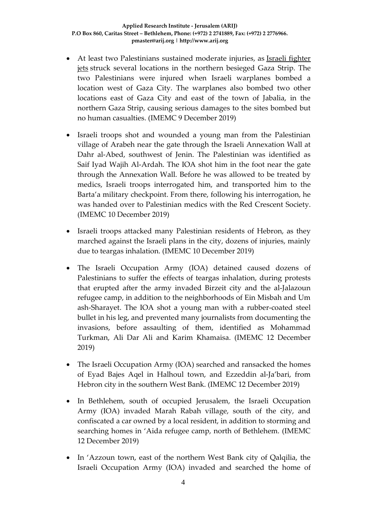- At least two Palestinians sustained moderate injuries, as Israeli fighter [jets](http://imemc.org/article/israel-attacks-gaza-after-alleged-rocket-fire/) struck several locations in the northern besieged Gaza Strip. The two Palestinians were injured when Israeli warplanes bombed a location west of Gaza City. The warplanes also bombed two other locations east of Gaza City and east of the town of Jabalia, in the northern Gaza Strip, causing serious damages to the sites bombed but no human casualties. (IMEMC 9 December 2019)
- Israeli troops shot and wounded a young man from the Palestinian village of Arabeh near the gate through the Israeli Annexation Wall at Dahr al-Abed, southwest of Jenin. The Palestinian was identified as Saif Iyad Wajih Al-Ardah. The IOA shot him in the foot near the gate through the Annexation Wall. Before he was allowed to be treated by medics, Israeli troops interrogated him, and transported him to the Barta'a military checkpoint. From there, following his interrogation, he was handed over to Palestinian medics with the Red Crescent Society. (IMEMC 10 December 2019)
- Israeli troops attacked many Palestinian residents of Hebron, as they marched against the Israeli plans in the city, dozens of injuries, mainly due to teargas inhalation. (IMEMC 10 December 2019)
- The Israeli Occupation Army (IOA) detained caused dozens of Palestinians to suffer the effects of teargas inhalation, during protests that erupted after the army invaded Birzeit city and the al-Jalazoun refugee camp, in addition to the neighborhoods of Ein Misbah and Um ash-Sharayet. The IOA shot a young man with a rubber-coated steel bullet in his leg, and prevented many journalists from documenting the invasions, before assaulting of them, identified as Mohammad Turkman, Ali Dar Ali and Karim Khamaisa. (IMEMC 12 December 2019)
- The Israeli Occupation Army (IOA) searched and ransacked the homes of Eyad Bajes Aqel in Halhoul town, and Ezzeddin al-Ja'bari, from Hebron city in the southern West Bank. (IMEMC 12 December 2019)
- In Bethlehem, south of occupied Jerusalem, the Israeli Occupation Army (IOA) invaded Marah Rabah village, south of the city, and confiscated a car owned by a local resident, in addition to storming and searching homes in 'Aida refugee camp, north of Bethlehem. (IMEMC 12 December 2019)
- In 'Azzoun town, east of the northern West Bank city of Qalqilia, the Israeli Occupation Army (IOA) invaded and searched the home of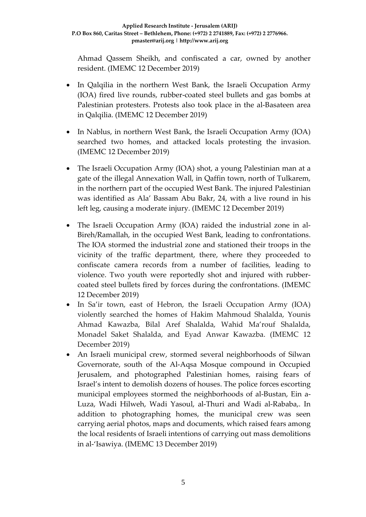Ahmad Qassem Sheikh, and confiscated a car, owned by another resident. (IMEMC 12 December 2019)

- In Qalqilia in the northern West Bank, the Israeli Occupation Army (IOA) fired live rounds, rubber-coated steel bullets and gas bombs at Palestinian protesters. Protests also took place in the al-Basateen area in Qalqilia. (IMEMC 12 December 2019)
- In Nablus, in northern West Bank, the Israeli Occupation Army (IOA) searched two homes, and attacked locals protesting the invasion. (IMEMC 12 December 2019)
- The Israeli Occupation Army (IOA) shot, a young Palestinian man at a gate of the illegal Annexation Wall, in Qaffin town, north of Tulkarem, in the northern part of the occupied West Bank. The injured Palestinian was identified as Ala' Bassam Abu Bakr, 24, with a live round in his left leg, causing a moderate injury. (IMEMC 12 December 2019)
- The Israeli Occupation Army (IOA) raided the industrial zone in al-Bireh/Ramallah, in the occupied West Bank, leading to confrontations. The IOA stormed the industrial zone and stationed their troops in the vicinity of the traffic department, there, where they proceeded to confiscate camera records from a number of facilities, leading to violence. Two youth were reportedly shot and injured with rubbercoated steel bullets fired by forces during the confrontations. (IMEMC 12 December 2019)
- In Sa'ir town, east of Hebron, the Israeli Occupation Army (IOA) violently searched the homes of Hakim Mahmoud Shalalda, Younis Ahmad Kawazba, Bilal Aref Shalalda, Wahid Ma'rouf Shalalda, Monadel Saket Shalalda, and Eyad Anwar Kawazba. (IMEMC 12 December 2019)
- An Israeli municipal crew, stormed several neighborhoods of Silwan Governorate, south of the Al-Aqsa Mosque compound in Occupied Jerusalem, and photographed Palestinian homes, raising fears of Israel's intent to demolish dozens of houses. The police forces escorting municipal employees stormed the neighborhoods of al-Bustan, Ein a-Luza, Wadi Hilweh, Wadi Yasoul, al-Thuri and Wadi al-Rababa,. In addition to photographing homes, the municipal crew was seen carrying aerial photos, maps and documents, which raised fears among the local residents of Israeli intentions of carrying out mass demolitions in al-'Isawiya. (IMEMC 13 December 2019)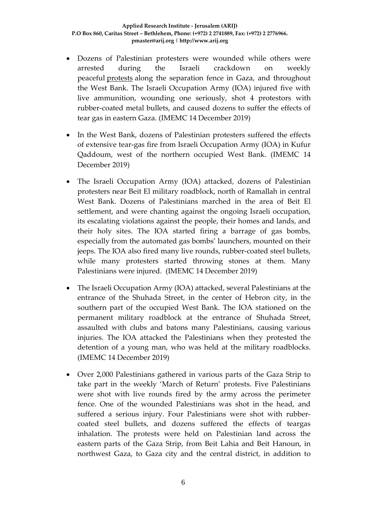- Dozens of Palestinian protesters were wounded while others were arrested during the Israeli crackdown on weekly peaceful [protests](http://imemc.org/article/over-2000-palestinians-participate-in-peaceful-protest-at-gaza-border/) along the separation fence in Gaza, and throughout the West Bank. The Israeli Occupation Army (IOA) injured five with live ammunition, wounding one seriously, shot 4 protestors with rubber-coated metal bullets, and caused dozens to suffer the effects of tear gas in eastern Gaza. (IMEMC 14 December 2019)
- In the West Bank, dozens of Palestinian protesters suffered the effects of extensive tear-gas fire from Israeli Occupation Army (IOA) in Kufur Qaddoum, west of the northern occupied West Bank. (IMEMC 14 December 2019)
- The Israeli Occupation Army (IOA) attacked, dozens of Palestinian protesters near Beit El military roadblock, north of Ramallah in central West Bank. Dozens of Palestinians marched in the area of Beit El settlement, and were chanting against the ongoing Israeli occupation, its escalating violations against the people, their homes and lands, and their holy sites. The IOA started firing a barrage of gas bombs, especially from the automated gas bombs' launchers, mounted on their jeeps. The IOA also fired many live rounds, rubber-coated steel bullets, while many protesters started throwing stones at them. Many Palestinians were injured. (IMEMC 14 December 2019)
- The Israeli Occupation Army (IOA) attacked, several Palestinians at the entrance of the Shuhada Street, in the center of Hebron city, in the southern part of the occupied West Bank. The IOA stationed on the permanent military roadblock at the entrance of Shuhada Street, assaulted with clubs and batons many Palestinians, causing various injuries. The IOA attacked the Palestinians when they protested the detention of a young man, who was held at the military roadblocks. (IMEMC 14 December 2019)
- Over 2,000 Palestinians gathered in various parts of the Gaza Strip to take part in the weekly 'March of Return' protests. Five Palestinians were shot with live rounds fired by the army across the perimeter fence. One of the wounded Palestinians was shot in the head, and suffered a serious injury. Four Palestinians were shot with rubbercoated steel bullets, and dozens suffered the effects of teargas inhalation. The protests were held on Palestinian land across the eastern parts of the Gaza Strip, from Beit Lahia and Beit Hanoun, in northwest Gaza, to Gaza city and the central district, in addition to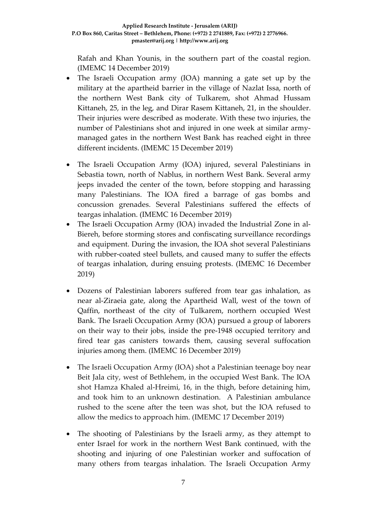Rafah and Khan Younis, in the southern part of the coastal region. (IMEMC 14 December 2019)

- The Israeli Occupation army (IOA) manning a gate set up by the military at the apartheid barrier in the village of Nazlat Issa, north of the northern West Bank city of Tulkarem, shot Ahmad Hussam Kittaneh, 25, in the leg, and Dirar Rasem Kittaneh, 21, in the shoulder. Their injuries were described as moderate. With these two injuries, the number of Palestinians shot and injured in one week at similar armymanaged gates in the northern West Bank has reached eight in three different incidents. (IMEMC 15 December 2019)
- The Israeli Occupation Army (IOA) injured, several Palestinians in Sebastia town, north of Nablus, in northern West Bank. Several army jeeps invaded the center of the town, before stopping and harassing many Palestinians. The IOA fired a barrage of gas bombs and concussion grenades. Several Palestinians suffered the effects of teargas inhalation. (IMEMC 16 December 2019)
- The Israeli Occupation Army (IOA) invaded the Industrial Zone in al-Biereh, before storming stores and confiscating surveillance recordings and equipment. During the invasion, the IOA shot several Palestinians with rubber-coated steel bullets, and caused many to suffer the effects of teargas inhalation, during ensuing protests. (IMEMC 16 December 2019)
- Dozens of Palestinian laborers suffered from tear gas inhalation, as near al-Ziraeia gate, along the Apartheid Wall, west of the town of Qaffin, northeast of the city of Tulkarem, northern occupied West Bank. The Israeli Occupation Army (IOA) pursued a group of laborers on their way to their jobs, inside the pre-1948 occupied territory and fired tear gas canisters towards them, causing several suffocation injuries among them. (IMEMC 16 December 2019)
- The Israeli Occupation Army (IOA) shot a Palestinian teenage boy near Beit Jala city, west of Bethlehem, in the occupied West Bank. The IOA shot Hamza Khaled al-Hreimi, 16, in the thigh, before detaining him, and took him to an unknown destination. A Palestinian ambulance rushed to the scene after the teen was shot, but the IOA refused to allow the medics to approach him. (IMEMC 17 December 2019)
- The shooting of Palestinians by the Israeli army, as they attempt to enter Israel for work in the northern West Bank continued, with the shooting and injuring of one Palestinian worker and suffocation of many others from teargas inhalation. The Israeli Occupation Army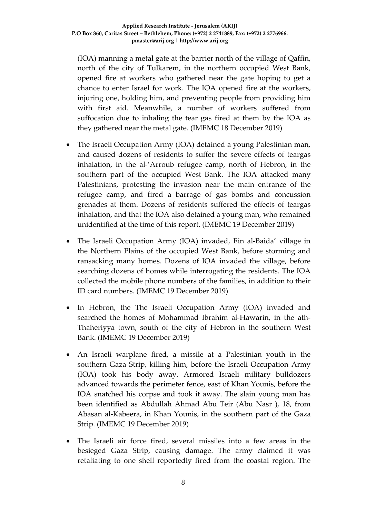(IOA) manning a metal gate at the barrier north of the village of Qaffin, north of the city of Tulkarem, in the northern occupied West Bank, opened fire at workers who gathered near the gate hoping to get a chance to enter Israel for work. The IOA opened fire at the workers, injuring one, holding him, and preventing people from providing him with first aid. Meanwhile, a number of workers suffered from suffocation due to inhaling the tear gas fired at them by the IOA as they gathered near the metal gate. (IMEMC 18 December 2019)

- The Israeli Occupation Army (IOA) detained a young Palestinian man, and caused dozens of residents to suffer the severe effects of teargas inhalation, in the al-'Arroub refugee camp, north of Hebron, in the southern part of the occupied West Bank. The IOA attacked many Palestinians, protesting the invasion near the main entrance of the refugee camp, and fired a barrage of gas bombs and concussion grenades at them. Dozens of residents suffered the effects of teargas inhalation, and that the IOA also detained a young man, who remained unidentified at the time of this report. (IMEMC 19 December 2019)
- The Israeli Occupation Army (IOA) invaded, Ein al-Baida' village in the Northern Plains of the occupied West Bank, before storming and ransacking many homes. Dozens of IOA invaded the village, before searching dozens of homes while interrogating the residents. The IOA collected the mobile phone numbers of the families, in addition to their ID card numbers. (IMEMC 19 December 2019)
- In Hebron, the The Israeli Occupation Army (IOA) invaded and searched the homes of Mohammad Ibrahim al-Hawarin, in the ath-Thaheriyya town, south of the city of Hebron in the southern West Bank. (IMEMC 19 December 2019)
- An Israeli warplane fired, a missile at a Palestinian youth in the southern Gaza Strip, killing him, before the Israeli Occupation Army (IOA) took his body away. Armored Israeli military bulldozers advanced towards the perimeter fence, east of Khan Younis, before the IOA snatched his corpse and took it away. The slain young man has been identified as Abdullah Ahmad Abu Teir (Abu Nasr ), 18, from Abasan al-Kabeera, in Khan Younis, in the southern part of the Gaza Strip. (IMEMC 19 December 2019)
- The Israeli air force fired, several missiles into a few areas in the besieged Gaza Strip, causing damage. The army claimed it was retaliating to one shell reportedly fired from the coastal region. The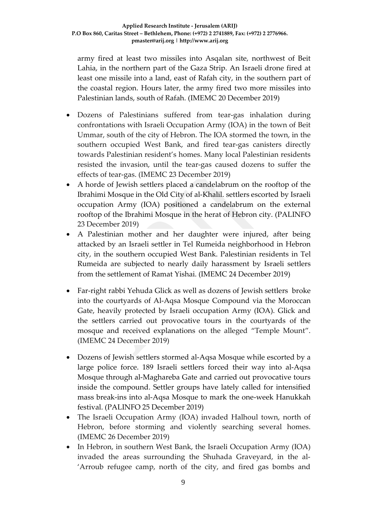army fired at least two missiles into Asqalan site, northwest of Beit Lahia, in the northern part of the Gaza Strip. An Israeli drone fired at least one missile into a land, east of Rafah city, in the southern part of the coastal region. Hours later, the army fired two more missiles into Palestinian lands, south of Rafah. (IMEMC 20 December 2019)

- Dozens of Palestinians suffered from tear-gas inhalation during confrontations with Israeli Occupation Army (IOA) in the town of Beit Ummar, south of the city of Hebron. The IOA stormed the town, in the southern occupied West Bank, and fired tear-gas canisters directly towards Palestinian resident's homes. Many local Palestinian residents resisted the invasion, until the tear-gas caused dozens to suffer the effects of tear-gas. (IMEMC 23 December 2019)
- A horde of Jewish settlers placed a candelabrum on the rooftop of the Ibrahimi Mosque in the Old City of al-Khalil. settlers escorted by Israeli occupation Army (IOA) positioned a candelabrum on the external rooftop of the Ibrahimi Mosque in the herat of Hebron city. (PALINFO 23 December 2019)
- A Palestinian mother and her daughter were injured, after being attacked by an Israeli settler in Tel Rumeida neighborhood in Hebron city, in the southern occupied West Bank. Palestinian residents in Tel Rumeida are subjected to nearly daily harassment by Israeli settlers from the settlement of Ramat Yishai. (IMEMC 24 December 2019)
- Far-right rabbi Yehuda Glick as well as dozens of Jewish settlers broke into the courtyards of Al-Aqsa Mosque Compound via the Moroccan Gate, heavily protected by Israeli occupation Army (IOA). Glick and the settlers carried out provocative tours in the courtyards of the mosque and received explanations on the alleged "Temple Mount". (IMEMC 24 December 2019)
- Dozens of Jewish settlers stormed al-Aqsa Mosque while escorted by a large police force. 189 Israeli settlers forced their way into al-Aqsa Mosque through al-Maghareba Gate and carried out provocative tours inside the compound. Settler groups have lately called for intensified mass break-ins into al-Aqsa Mosque to mark the one-week Hanukkah festival. (PALINFO 25 December 2019)
- The Israeli Occupation Army (IOA) invaded Halhoul town, north of Hebron, before storming and violently searching several homes. (IMEMC 26 December 2019)
- In Hebron, in southern West Bank, the Israeli Occupation Army (IOA) invaded the areas surrounding the Shuhada Graveyard, in the al- 'Arroub refugee camp, north of the city, and fired gas bombs and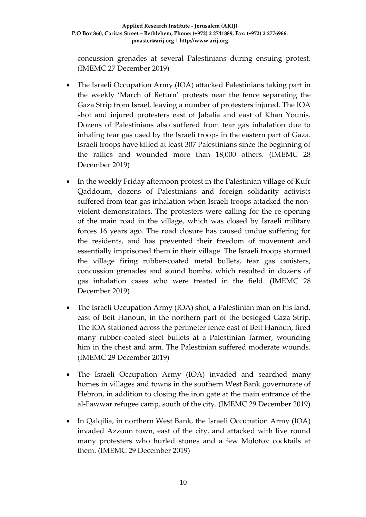concussion grenades at several Palestinians during ensuing protest. (IMEMC 27 December 2019)

- The Israeli Occupation Army (IOA) attacked Palestinians taking part in the weekly 'March of Return' protests near the fence separating the Gaza Strip from Israel, leaving a number of protesters injured. The IOA shot and injured protesters east of Jabalia and east of Khan Younis. Dozens of Palestinians also suffered from tear gas inhalation due to inhaling tear gas used by the Israeli troops in the eastern part of Gaza. Israeli troops have killed at least 307 Palestinians since the beginning of the rallies and wounded more than 18,000 others. (IMEMC 28 December 2019)
- In the weekly Friday afternoon protest in the Palestinian village of Kufr Qaddoum, dozens of Palestinians and foreign solidarity activists suffered from tear gas inhalation when Israeli troops attacked the nonviolent demonstrators. The protesters were calling for the re-opening of the main road in the village, which was closed by Israeli military forces 16 years ago. The road closure has caused undue suffering for the residents, and has prevented their freedom of movement and essentially imprisoned them in their village. The Israeli troops stormed the village firing rubber-coated metal bullets, tear gas canisters, concussion grenades and sound bombs, which resulted in dozens of gas inhalation cases who were treated in the field. (IMEMC 28 December 2019)
- The Israeli Occupation Army (IOA) shot, a Palestinian man on his land, east of Beit Hanoun, in the northern part of the besieged Gaza Strip. The IOA stationed across the perimeter fence east of Beit Hanoun, fired many rubber-coated steel bullets at a Palestinian farmer, wounding him in the chest and arm. The Palestinian suffered moderate wounds. (IMEMC 29 December 2019)
- The Israeli Occupation Army (IOA) invaded and searched many homes in villages and towns in the southern West Bank governorate of Hebron, in addition to closing the iron gate at the main entrance of the al-Fawwar refugee camp, south of the city. (IMEMC 29 December 2019)
- In Qalqilia, in northern West Bank, the Israeli Occupation Army (IOA) invaded Azzoun town, east of the city, and attacked with live round many protesters who hurled stones and a few Molotov cocktails at them. (IMEMC 29 December 2019)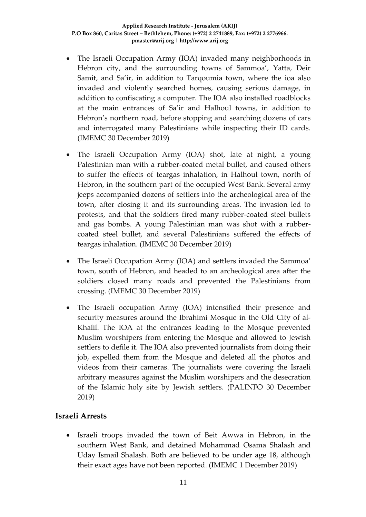- The Israeli Occupation Army (IOA) invaded many neighborhoods in Hebron city, and the surrounding towns of Sammoa', Yatta, Deir Samit, and Sa'ir, in addition to Tarqoumia town, where the ioa also invaded and violently searched homes, causing serious damage, in addition to confiscating a computer. The IOA also installed roadblocks at the main entrances of Sa'ir and Halhoul towns, in addition to Hebron's northern road, before stopping and searching dozens of cars and interrogated many Palestinians while inspecting their ID cards. (IMEMC 30 December 2019)
- The Israeli Occupation Army (IOA) shot, late at night, a young Palestinian man with a rubber-coated metal bullet, and caused others to suffer the effects of teargas inhalation, in Halhoul town, north of Hebron, in the southern part of the occupied West Bank. Several army jeeps accompanied dozens of settlers into the archeological area of the town, after closing it and its surrounding areas. The invasion led to protests, and that the soldiers fired many rubber-coated steel bullets and gas bombs. A young Palestinian man was shot with a rubbercoated steel bullet, and several Palestinians suffered the effects of teargas inhalation. (IMEMC 30 December 2019)
- The Israeli Occupation Army (IOA) and settlers invaded the Sammoa' town, south of Hebron, and headed to an archeological area after the soldiers closed many roads and prevented the Palestinians from crossing. (IMEMC 30 December 2019)
- The Israeli occupation Army (IOA) intensified their presence and security measures around the Ibrahimi Mosque in the Old City of al-Khalil. The IOA at the entrances leading to the Mosque prevented Muslim worshipers from entering the Mosque and allowed to Jewish settlers to defile it. The IOA also prevented journalists from doing their job, expelled them from the Mosque and deleted all the photos and videos from their cameras. The journalists were covering the Israeli arbitrary measures against the Muslim worshipers and the desecration of the Islamic holy site by Jewish settlers. (PALINFO 30 December 2019)

# **Israeli Arrests**

• Israeli troops invaded the town of Beit Awwa in Hebron, in the southern West Bank, and detained Mohammad Osama Shalash and Uday Ismail Shalash. Both are believed to be under age 18, although their exact ages have not been reported. (IMEMC 1 December 2019)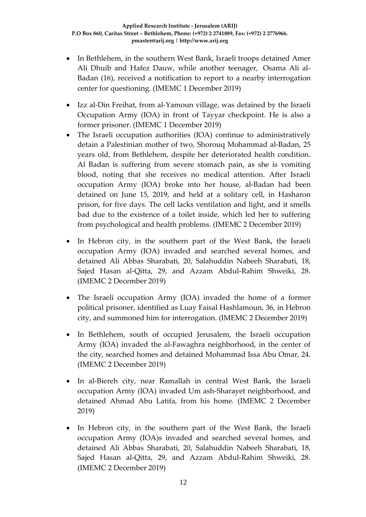- In Bethlehem, in the southern West Bank, Israeli troops detained Amer Ali Dhuib and Hafez Dauw, while another teenager, Osama Ali al-Badan (16), received a notification to report to a nearby interrogation center for questioning. (IMEMC 1 December 2019)
- Izz al-Din Freihat, from al-Yamoun village, was detained by the Israeli Occupation Army (IOA) in front of Tayyar checkpoint. He is also a former prisoner. (IMEMC 1 December 2019)
- The Israeli occupation authorities (IOA) continue to administratively detain a Palestinian mother of two, Shorouq Mohammad al-Badan, 25 years old, from Bethlehem, despite her deteriorated health condition. Al Badan is suffering from severe stomach pain, as she is vomiting blood, noting that she receives no medical attention. After Israeli occupation Army (IOA) broke into her house, al-Badan had been detained on June 15, 2019, and held at a solitary cell, in Hasharon prison, for five days. The cell lacks ventilation and light, and it smells bad due to the existence of a toilet inside, which led her to suffering from psychological and health problems. (IMEMC 2 December 2019)
- In Hebron city, in the southern part of the West Bank, the Israeli occupation Army (IOA) invaded and searched several homes, and detained Ali Abbas Sharabati, 20, Salahuddin Nabeeh Sharabati, 18, Sajed Hasan al-Qitta, 29, and Azzam Abdul-Rahim Shweiki, 28. (IMEMC 2 December 2019)
- The Israeli occupation Army (IOA) invaded the home of a former political prisoner, identified as Luay Faisal Hashlamoun, 36, in Hebron city, and summoned him for interrogation. (IMEMC 2 December 2019)
- In Bethlehem, south of occupied Jerusalem, the Israeli occupation Army (IOA) invaded the al-Fawaghra neighborhood, in the center of the city, searched homes and detained Mohammad Issa Abu Omar, 24. (IMEMC 2 December 2019)
- In al-Biereh city, near Ramallah in central West Bank, the Israeli occupation Army (IOA) invaded Um ash-Sharayet neighborhood, and detained Ahmad Abu Latifa, from his home. (IMEMC 2 December 2019)
- In Hebron city, in the southern part of the West Bank, the Israeli occupation Army (IOA)s invaded and searched several homes, and detained Ali Abbas Sharabati, 20, Salahuddin Nabeeh Sharabati, 18, Sajed Hasan al-Qitta, 29, and Azzam Abdul-Rahim Shweiki, 28. (IMEMC 2 December 2019)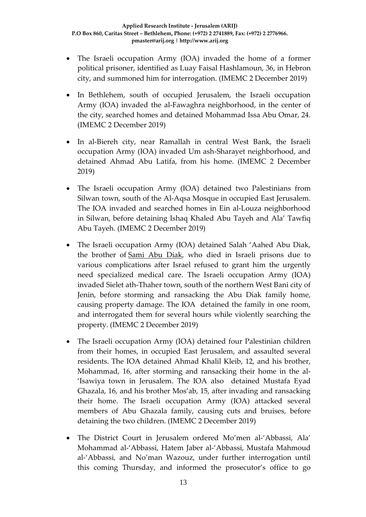- The Israeli occupation Army (IOA) invaded the home of a former political prisoner, identified as Luay Faisal Hashlamoun, 36, in Hebron city, and summoned him for interrogation. (IMEMC 2 December 2019)
- In Bethlehem, south of occupied Jerusalem, the Israeli occupation Army (IOA) invaded the al-Fawaghra neighborhood, in the center of the city, searched homes and detained Mohammad Issa Abu Omar, 24. (IMEMC 2 December 2019)
- In al-Biereh city, near Ramallah in central West Bank, the Israeli occupation Army (IOA) invaded Um ash-Sharayet neighborhood, and detained Ahmad Abu Latifa, from his home. (IMEMC 2 December 2019)
- The Israeli occupation Army (IOA) detained two Palestinians from Silwan town, south of the Al-Aqsa Mosque in occupied East Jerusalem. The IOA invaded and searched homes in Ein al-Louza neighborhood in Silwan, before detaining Ishaq Khaled Abu Tayeh and Ala' Tawfiq Abu Tayeh. (IMEMC 2 December 2019)
- The Israeli occupation Army (IOA) detained Salah 'Aahed Abu Diak, the brother of [Sami Abu Diak,](https://imemc.org/article/pchr-fourth-case-in-2019-palestinian-prisoner-dies-in-israeli-prison-suspicions-of-medical-neglect-arise/) who died in Israeli prisons due to various complications after Israel refused to grant him the urgently need specialized medical care. The Israeli occupation Army (IOA) invaded Sielet ath-Thaher town, south of the northern West Bani city of Jenin, before storming and ransacking the Abu Diak family home, causing property damage. The IOA detained the family in one room, and interrogated them for several hours while violently searching the property. (IMEMC 2 December 2019)
- The Israeli occupation Army (IOA) detained four Palestinian children from their homes, in occupied East Jerusalem, and assaulted several residents. The IOA detained Ahmad Khalil Kleib, 12, and his brother, Mohammad, 16, after storming and ransacking their home in the al- 'Isawiya town in Jerusalem. The IOA also detained Mustafa Eyad Ghazala, 16, and his brother Mos'ab, 15, after invading and ransacking their home. The Israeli occupation Army (IOA) attacked several members of Abu Ghazala family, causing cuts and bruises, before detaining the two children. (IMEMC 2 December 2019)
- The District Court in Jerusalem ordered Mo'men al-'Abbassi, Ala' Mohammad al-'Abbassi, Hatem Jaber al-'Abbassi, Mustafa Mahmoud al-'Abbassi, and No'man Wazouz, under further interrogation until this coming Thursday, and informed the prosecutor's office to go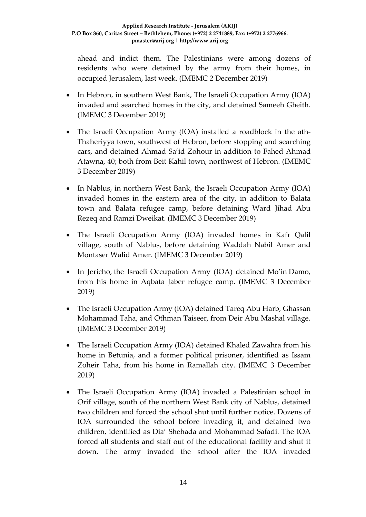ahead and indict them. The Palestinians were among dozens of residents who were detained by the army from their homes, in occupied Jerusalem, last week. (IMEMC 2 December 2019)

- In Hebron, in southern West Bank, The Israeli Occupation Army (IOA) invaded and searched homes in the city, and detained Sameeh Gheith. (IMEMC 3 December 2019)
- The Israeli Occupation Army (IOA) installed a roadblock in the ath-Thaheriyya town, southwest of Hebron, before stopping and searching cars, and detained Ahmad Sa'id Zohour in addition to Fahed Ahmad Atawna, 40; both from Beit Kahil town, northwest of Hebron. (IMEMC 3 December 2019)
- In Nablus, in northern West Bank, the Israeli Occupation Army (IOA) invaded homes in the eastern area of the city, in addition to Balata town and Balata refugee camp, before detaining Ward Jihad Abu Rezeq and Ramzi Dweikat. (IMEMC 3 December 2019)
- The Israeli Occupation Army (IOA) invaded homes in Kafr Qalil village, south of Nablus, before detaining Waddah Nabil Amer and Montaser Walid Amer. (IMEMC 3 December 2019)
- In Jericho, the Israeli Occupation Army (IOA) detained Mo'in Damo, from his home in Aqbata Jaber refugee camp. (IMEMC 3 December 2019)
- The Israeli Occupation Army (IOA) detained Tareq Abu Harb, Ghassan Mohammad Taha, and Othman Taiseer, from Deir Abu Mashal village. (IMEMC 3 December 2019)
- The Israeli Occupation Army (IOA) detained Khaled Zawahra from his home in Betunia, and a former political prisoner, identified as Issam Zoheir Taha, from his home in Ramallah city. (IMEMC 3 December 2019)
- The Israeli Occupation Army (IOA) invaded a Palestinian school in Orif village, south of the northern West Bank city of Nablus, detained two children and forced the school shut until further notice. Dozens of IOA surrounded the school before invading it, and detained two children, identified as Dia' Shehada and Mohammad Safadi. The IOA forced all students and staff out of the educational facility and shut it down. The army invaded the school after the IOA invaded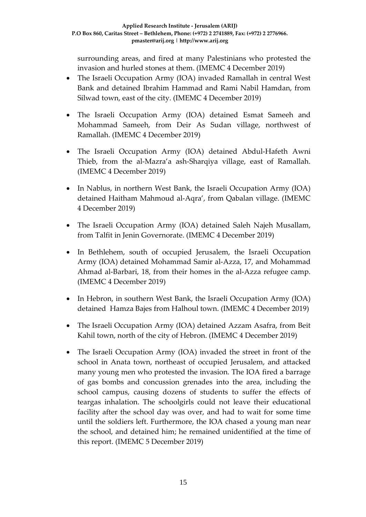surrounding areas, and fired at many Palestinians who protested the invasion and hurled stones at them. (IMEMC 4 December 2019)

- The Israeli Occupation Army (IOA) invaded Ramallah in central West Bank and detained Ibrahim Hammad and Rami Nabil Hamdan, from Silwad town, east of the city. (IMEMC 4 December 2019)
- The Israeli Occupation Army (IOA) detained Esmat Sameeh and Mohammad Sameeh, from Deir As Sudan village, northwest of Ramallah. (IMEMC 4 December 2019)
- The Israeli Occupation Army (IOA) detained Abdul-Hafeth Awni Thieb, from the al-Mazra'a ash-Sharqiya village, east of Ramallah. (IMEMC 4 December 2019)
- In Nablus, in northern West Bank, the Israeli Occupation Army (IOA) detained Haitham Mahmoud al-Aqra', from Qabalan village. (IMEMC 4 December 2019)
- The Israeli Occupation Army (IOA) detained Saleh Najeh Musallam, from Talfit in Jenin Governorate. (IMEMC 4 December 2019)
- In Bethlehem, south of occupied Jerusalem, the Israeli Occupation Army (IOA) detained Mohammad Samir al-Azza, 17, and Mohammad Ahmad al-Barbari, 18, from their homes in the al-Azza refugee camp. (IMEMC 4 December 2019)
- In Hebron, in southern West Bank, the Israeli Occupation Army (IOA) detained Hamza Bajes from Halhoul town. (IMEMC 4 December 2019)
- The Israeli Occupation Army (IOA) detained Azzam Asafra, from Beit Kahil town, north of the city of Hebron. (IMEMC 4 December 2019)
- The Israeli Occupation Army (IOA) invaded the street in front of the school in Anata town, northeast of occupied Jerusalem, and attacked many young men who protested the invasion. The IOA fired a barrage of gas bombs and concussion grenades into the area, including the school campus, causing dozens of students to suffer the effects of teargas inhalation. The schoolgirls could not leave their educational facility after the school day was over, and had to wait for some time until the soldiers left. Furthermore, the IOA chased a young man near the school, and detained him; he remained unidentified at the time of this report. (IMEMC 5 December 2019)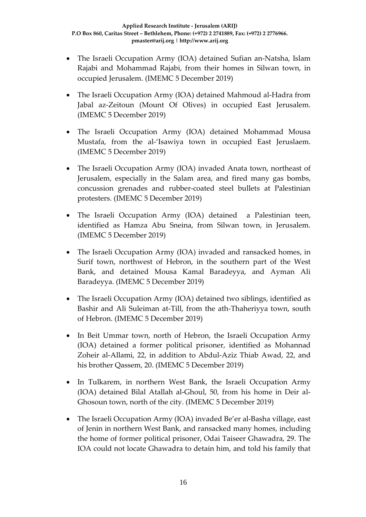- The Israeli Occupation Army (IOA) detained Sufian an-Natsha, Islam Rajabi and Mohammad Rajabi, from their homes in Silwan town, in occupied Jerusalem. (IMEMC 5 December 2019)
- The Israeli Occupation Army (IOA) detained Mahmoud al-Hadra from Jabal az-Zeitoun (Mount Of Olives) in occupied East Jerusalem. (IMEMC 5 December 2019)
- The Israeli Occupation Army (IOA) detained Mohammad Mousa Mustafa, from the al-'Isawiya town in occupied East Jeruslaem. (IMEMC 5 December 2019)
- The Israeli Occupation Army (IOA) invaded Anata town, northeast of Jerusalem, especially in the Salam area, and fired many gas bombs, concussion grenades and rubber-coated steel bullets at Palestinian protesters. (IMEMC 5 December 2019)
- The Israeli Occupation Army (IOA) detained a Palestinian teen, identified as Hamza Abu Sneina, from Silwan town, in Jerusalem. (IMEMC 5 December 2019)
- The Israeli Occupation Army (IOA) invaded and ransacked homes, in Surif town, northwest of Hebron, in the southern part of the West Bank, and detained Mousa Kamal Baradeyya, and Ayman Ali Baradeyya. (IMEMC 5 December 2019)
- The Israeli Occupation Army (IOA) detained two siblings, identified as Bashir and Ali Suleiman at-Till, from the ath-Thaheriyya town, south of Hebron. (IMEMC 5 December 2019)
- In Beit Ummar town, north of Hebron, the Israeli Occupation Army (IOA) detained a former political prisoner, identified as Mohannad Zoheir al-Allami, 22, in addition to Abdul-Aziz Thiab Awad, 22, and his brother Qassem, 20. (IMEMC 5 December 2019)
- In Tulkarem, in northern West Bank, the Israeli Occupation Army (IOA) detained Bilal Atallah al-Ghoul, 50, from his home in Deir al-Ghosoun town, north of the city. (IMEMC 5 December 2019)
- The Israeli Occupation Army (IOA) invaded Be'er al-Basha village, east of Jenin in northern West Bank, and ransacked many homes, including the home of former political prisoner, Odai Taiseer Ghawadra, 29. The IOA could not locate Ghawadra to detain him, and told his family that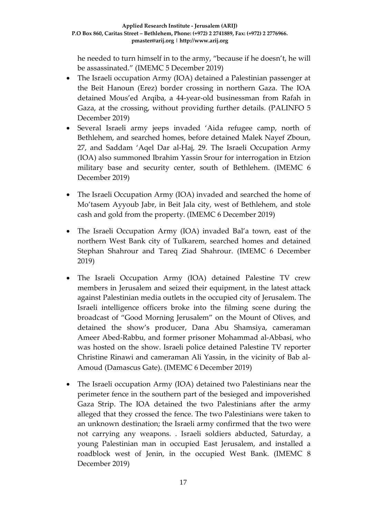he needed to turn himself in to the army, "because if he doesn't, he will be assassinated." (IMEMC 5 December 2019)

- The Israeli occupation Army (IOA) detained a Palestinian passenger at the Beit Hanoun (Erez) border crossing in northern Gaza. The IOA detained Mous'ed Arqiba, a 44-year-old businessman from Rafah in Gaza, at the crossing, without providing further details. (PALINFO 5 December 2019)
- Several Israeli army jeeps invaded 'Aida refugee camp, north of Bethlehem, and searched homes, before detained Malek Nayef Zboun, 27, and Saddam 'Aqel Dar al-Haj, 29. The Israeli Occupation Army (IOA) also summoned Ibrahim Yassin Srour for interrogation in Etzion military base and security center, south of Bethlehem. (IMEMC 6 December 2019)
- The Israeli Occupation Army (IOA) invaded and searched the home of Mo'tasem Ayyoub Jabr, in Beit Jala city, west of Bethlehem, and stole cash and gold from the property. (IMEMC 6 December 2019)
- The Israeli Occupation Army (IOA) invaded Bal'a town, east of the northern West Bank city of Tulkarem, searched homes and detained Stephan Shahrour and Tareq Ziad Shahrour. (IMEMC 6 December 2019)
- The Israeli Occupation Army (IOA) detained Palestine TV crew members in Jerusalem and seized their equipment, in the latest attack against Palestinian media outlets in the occupied city of Jerusalem. The Israeli intelligence officers broke into the filming scene during the broadcast of "Good Morning Jerusalem" on the Mount of Olives, and detained the show's producer, Dana Abu Shamsiya, cameraman Ameer Abed-Rabbu, and former prisoner Mohammad al-Abbasi, who was hosted on the show. Israeli police detained Palestine TV reporter Christine Rinawi and cameraman Ali Yassin, in the vicinity of Bab al-Amoud (Damascus Gate). (IMEMC 6 December 2019)
- The Israeli occupation Army (IOA) detained two Palestinians near the perimeter fence in the southern part of the besieged and impoverished Gaza Strip. The IOA detained the two Palestinians after the army alleged that they crossed the fence. The two Palestinians were taken to an unknown destination; the Israeli army confirmed that the two were not carrying any weapons. . Israeli soldiers abducted, Saturday, a young Palestinian man in occupied East Jerusalem, and installed a roadblock west of Jenin, in the occupied West Bank. (IMEMC 8 December 2019)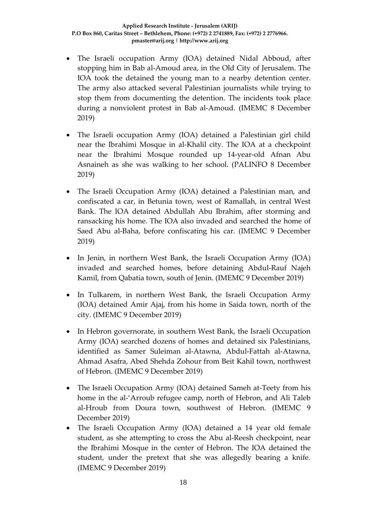- The Israeli occupation Army (IOA) detained Nidal Abboud, after stopping him in Bab al-Amoud area, in the Old City of Jerusalem. The IOA took the detained the young man to a nearby detention center. The army also attacked several Palestinian journalists while trying to stop them from documenting the detention. The incidents took place during a nonviolent protest in Bab al-Amoud. (IMEMC 8 December 2019)
- The Israeli occupation Army (IOA) detained a Palestinian girl child near the Ibrahimi Mosque in al-Khalil city. The IOA at a checkpoint near the Ibrahimi Mosque rounded up 14-year-old Afnan Abu Asnaineh as she was walking to her school. (PALINFO 8 December 2019)
- The Israeli Occupation Army (IOA) detained a Palestinian man, and confiscated a car, in Betunia town, west of Ramallah, in central West Bank. The IOA detained Abdullah Abu Ibrahim, after storming and ransacking his home. The IOA also invaded and searched the home of Saed Abu al-Baha, before confiscating his car. (IMEMC 9 December 2019)
- In Jenin, in northern West Bank, the Israeli Occupation Army (IOA) invaded and searched homes, before detaining Abdul-Rauf Najeh Kamil, from Qabatia town, south of Jenin. (IMEMC 9 December 2019)
- In Tulkarem, in northern West Bank, the Israeli Occupation Army (IOA) detained Amir Ajaj, from his home in Saida town, north of the city. (IMEMC 9 December 2019)
- In Hebron governorate, in southern West Bank, the Israeli Occupation Army (IOA) searched dozens of homes and detained six Palestinians, identified as Samer Suleiman al-Atawna, Abdul-Fattah al-Atawna, Ahmad Asafra, Abed Shehda Zohour from Beit Kahil town, northwest of Hebron. (IMEMC 9 December 2019)
- The Israeli Occupation Army (IOA) detained Sameh at-Teety from his home in the al-'Arroub refugee camp, north of Hebron, and Ali Taleb al-Hroub from Doura town, southwest of Hebron. (IMEMC 9 December 2019)
- The Israeli Occupation Army (IOA) detained a 14 year old female student, as she attempting to cross the Abu al-Reesh checkpoint, near the Ibrahimi Mosque in the center of Hebron. The IOA detained the student, under the pretext that she was allegedly bearing a knife. (IMEMC 9 December 2019)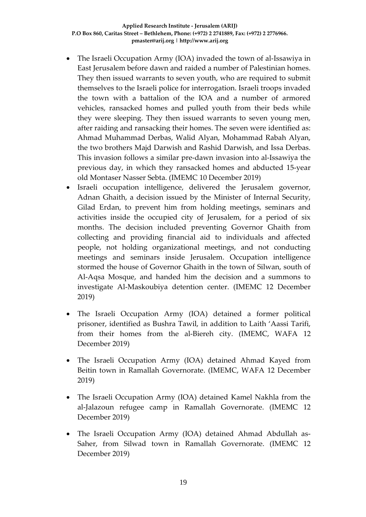- The Israeli Occupation Army (IOA) invaded the town of al-Issawiya in East Jerusalem before dawn and raided a number of Palestinian homes. They then issued warrants to seven youth, who are required to submit themselves to the Israeli police for interrogation. Israeli troops invaded the town with a battalion of the IOA and a number of armored vehicles, ransacked homes and pulled youth from their beds while they were sleeping. They then issued warrants to seven young men, after raiding and ransacking their homes. The seven were identified as: Ahmad Muhammad Derbas, Walid Alyan, Mohammad Rabah Alyan, the two brothers Majd Darwish and Rashid Darwish, and Issa Derbas. This invasion follows a similar pre-dawn invasion into al-Issawiya the previous day, in which they ransacked homes and abducted 15-year old Montaser Nasser Sebta. (IMEMC 10 December 2019)
- Israeli occupation intelligence, delivered the Jerusalem governor, Adnan Ghaith, a decision issued by the Minister of Internal Security, Gilad Erdan, to prevent him from holding meetings, seminars and activities inside the occupied city of Jerusalem, for a period of six months. The decision included preventing Governor Ghaith from collecting and providing financial aid to individuals and affected people, not holding organizational meetings, and not conducting meetings and seminars inside Jerusalem. Occupation intelligence stormed the house of Governor Ghaith in the town of Silwan, south of Al-Aqsa Mosque, and handed him the decision and a summons to investigate Al-Maskoubiya detention center. (IMEMC 12 December 2019)
- The Israeli Occupation Army (IOA) detained a former political prisoner, identified as Bushra Tawil, in addition to Laith 'Aassi Tarifi, from their homes from the al-Biereh city. (IMEMC, WAFA 12 December 2019)
- The Israeli Occupation Army (IOA) detained Ahmad Kayed from Beitin town in Ramallah Governorate. (IMEMC, WAFA 12 December 2019)
- The Israeli Occupation Army (IOA) detained Kamel Nakhla from the al-Jalazoun refugee camp in Ramallah Governorate. (IMEMC 12 December 2019)
- The Israeli Occupation Army (IOA) detained Ahmad Abdullah as-Saher, from Silwad town in Ramallah Governorate. (IMEMC 12 December 2019)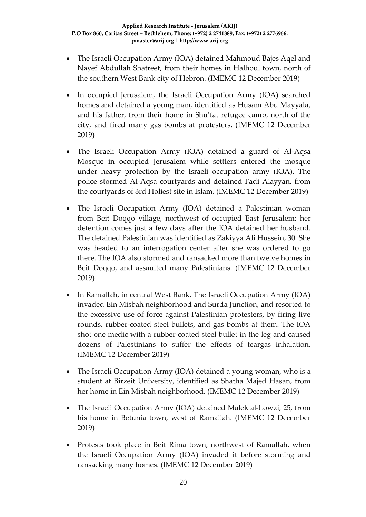- The Israeli Occupation Army (IOA) detained Mahmoud Bajes Aqel and Nayef Abdullah Shatreet, from their homes in Halhoul town, north of the southern West Bank city of Hebron. (IMEMC 12 December 2019)
- In occupied Jerusalem, the Israeli Occupation Army (IOA) searched homes and detained a young man, identified as Husam Abu Mayyala, and his father, from their home in Shu'fat refugee camp, north of the city, and fired many gas bombs at protesters. (IMEMC 12 December 2019)
- The Israeli Occupation Army (IOA) detained a guard of Al-Aqsa Mosque in occupied Jerusalem while settlers entered the mosque under heavy protection by the Israeli occupation army (IOA). The police stormed Al-Aqsa courtyards and detained Fadi Alayyan, from the courtyards of 3rd Holiest site in Islam. (IMEMC 12 December 2019)
- The Israeli Occupation Army (IOA) detained a Palestinian woman from Beit Doqqo village, northwest of occupied East Jerusalem; her detention comes just a few days after the IOA detained her husband. The detained Palestinian was identified as Zakiyya Ali Hussein, 30. She was headed to an interrogation center after she was ordered to go there. The IOA also stormed and ransacked more than twelve homes in Beit Doqqo, and assaulted many Palestinians. (IMEMC 12 December 2019)
- In Ramallah, in central West Bank, The Israeli Occupation Army (IOA) invaded Ein Misbah neighborhood and Surda Junction, and resorted to the excessive use of force against Palestinian protesters, by firing live rounds, rubber-coated steel bullets, and gas bombs at them. The IOA shot one medic with a rubber-coated steel bullet in the leg and caused dozens of Palestinians to suffer the effects of teargas inhalation. (IMEMC 12 December 2019)
- The Israeli Occupation Army (IOA) detained a young woman, who is a student at Birzeit University, identified as Shatha Majed Hasan, from her home in Ein Misbah neighborhood. (IMEMC 12 December 2019)
- The Israeli Occupation Army (IOA) detained Malek al-Lowzi, 25, from his home in Betunia town, west of Ramallah. (IMEMC 12 December 2019)
- Protests took place in Beit Rima town, northwest of Ramallah, when the Israeli Occupation Army (IOA) invaded it before storming and ransacking many homes. (IMEMC 12 December 2019)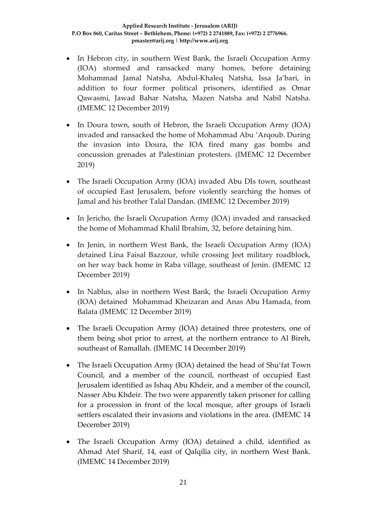- In Hebron city, in southern West Bank, the Israeli Occupation Army (IOA) stormed and ransacked many homes, before detaining Mohammad Jamal Natsha, Abdul-Khaleq Natsha, Issa Ja'bari, in addition to four former political prisoners, identified as Omar Qawasmi, Jawad Bahar Natsha, Mazen Natsha and Nabil Natsha. (IMEMC 12 December 2019)
- In Doura town, south of Hebron, the Israeli Occupation Army (IOA) invaded and ransacked the home of Mohammad Abu 'Arqoub. During the invasion into Doura, the IOA fired many gas bombs and concussion grenades at Palestinian protesters. (IMEMC 12 December 2019)
- The Israeli Occupation Army (IOA) invaded Abu DIs town, southeast of occupied East Jerusalem, before violently searching the homes of Jamal and his brother Talal Dandan. (IMEMC 12 December 2019)
- In Jericho, the Israeli Occupation Army (IOA) invaded and ransacked the home of Mohammad Khalil Ibrahim, 32, before detaining him.
- In Jenin, in northern West Bank, the Israeli Occupation Army (IOA) detained Lina Faisal Bazzour, while crossing Jeet military roadblock, on her way back home in Raba village, southeast of Jenin. (IMEMC 12 December 2019)
- In Nablus, also in northern West Bank, the Israeli Occupation Army (IOA) detained Mohammad Kheizaran and Anas Abu Hamada, from Balata (IMEMC 12 December 2019)
- The Israeli Occupation Army (IOA) detained three protesters, one of them being shot prior to arrest, at the northern entrance to Al Bireh, southeast of Ramallah. (IMEMC 14 December 2019)
- The Israeli Occupation Army (IOA) detained the head of Shu'fat Town Council, and a member of the council, northeast of occupied East Jerusalem identified as Ishaq Abu Khdeir, and a member of the council, Nasser Abu Khdeir. The two were apparently taken prisoner for calling for a procession in front of the local mosque, after groups of Israeli settlers escalated their invasions and violations in the area. (IMEMC 14 December 2019)
- The Israeli Occupation Army (IOA) detained a child, identified as Ahmad Atef Sharif, 14, east of Qalqilia city, in northern West Bank. (IMEMC 14 December 2019)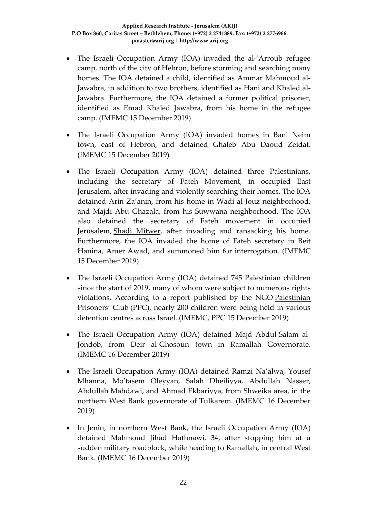- The Israeli Occupation Army (IOA) invaded the al-'Arroub refugee camp, north of the city of Hebron, before storming and searching many homes. The IOA detained a child, identified as Ammar Mahmoud al-Jawabra, in addition to two brothers, identified as Hani and Khaled al-Jawabra. Furthermore, the IOA detained a former political prisoner, identified as Emad Khaled Jawabra, from his home in the refugee camp. (IMEMC 15 December 2019)
- The Israeli Occupation Army (IOA) invaded homes in Bani Neim town, east of Hebron, and detained Ghaleb Abu Daoud Zeidat. (IMEMC 15 December 2019)
- The Israeli Occupation Army (IOA) detained three Palestinians, including the secretary of Fateh Movement, in occupied East Jerusalem, after invading and violently searching their homes. The IOA detained Arin Za'anin, from his home in Wadi al-Jouz neighborhood, and Majdi Abu Ghazala, from his Suwwana neighborhood. The IOA also detained the secretary of Fateh movement in occupied Jerusalem, [Shadi Mitwer,](https://imemc.org/article/soldiers-abduct-fateh-secretary-in-jerusalem/) after invading and ransacking his home. Furthermore, the IOA invaded the home of Fateh secretary in Beit Hanina, Amer Awad, and summoned him for interrogation. (IMEMC 15 December 2019)
- The Israeli Occupation Army (IOA) detained 745 Palestinian children since the start of 2019, many of whom were subject to numerous rights violations. According to a report published by the NGO [Palestinian](https://www.facebook.com/ppc1993/)  [Prisoners' Club](https://www.facebook.com/ppc1993/) (PPC), nearly 200 children were being held in various detention centres across Israel. (IMEMC, PPC 15 December 2019)
- The Israeli Occupation Army (IOA) detained Majd Abdul-Salam al-Jondob, from Deir al-Ghosoun town in Ramallah Governorate. (IMEMC 16 December 2019)
- The Israeli Occupation Army (IOA) detained Ramzi Na'alwa, Yousef Mhanna, Mo'tasem Oleyyan, Salah Dheiliyya, Abdullah Nasser, Abdullah Mahdawi, and Ahmad Ekbariyya, from Shweika area, in the northern West Bank governorate of Tulkarem. (IMEMC 16 December 2019)
- In Jenin, in northern West Bank, the Israeli Occupation Army (IOA) detained Mahmoud Jihad Hathnawi, 34, after stopping him at a sudden military roadblock, while heading to Ramallah, in central West Bank. (IMEMC 16 December 2019)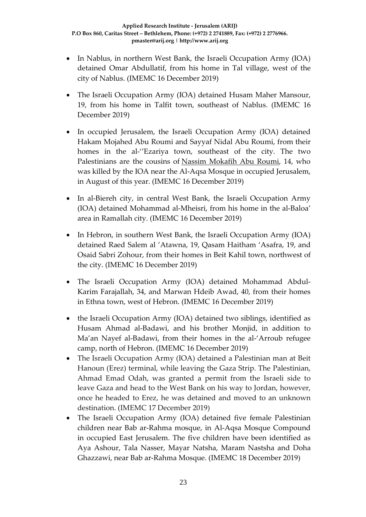- In Nablus, in northern West Bank, the Israeli Occupation Army (IOA) detained Omar Abdullatif, from his home in Tal village, west of the city of Nablus. (IMEMC 16 December 2019)
- The Israeli Occupation Army (IOA) detained Husam Maher Mansour, 19, from his home in Talfit town, southeast of Nablus. (IMEMC 16 December 2019)
- In occupied Jerusalem, the Israeli Occupation Army (IOA) detained Hakam Mojahed Abu Roumi and Sayyaf Nidal Abu Roumi, from their homes in the al-''Ezariya town, southeast of the city. The two Palestinians are the cousins of [Nassim Mokafih Abu Roumi,](https://israelpalestinetimeline.org/nassim-abu-roumi/) 14, who was killed by the IOA near the Al-Aqsa Mosque in occupied Jerusalem, in August of this year. (IMEMC 16 December 2019)
- In al-Biereh city, in central West Bank, the Israeli Occupation Army (IOA) detained Mohammad al-Mheisri, from his home in the al-Baloa' area in Ramallah city. (IMEMC 16 December 2019)
- In Hebron, in southern West Bank, the Israeli Occupation Army (IOA) detained Raed Salem al 'Atawna, 19, Qasam Haitham 'Asafra, 19, and Osaid Sabri Zohour, from their homes in Beit Kahil town, northwest of the city. (IMEMC 16 December 2019)
- The Israeli Occupation Army (IOA) detained Mohammad Abdul-Karim Farajallah, 34, and Marwan Hdeib Awad, 40, from their homes in Ethna town, west of Hebron. (IMEMC 16 December 2019)
- the Israeli Occupation Army (IOA) detained two siblings, identified as Husam Ahmad al-Badawi, and his brother Monjid, in addition to Ma'an Nayef al-Badawi, from their homes in the al-'Arroub refugee camp, north of Hebron. (IMEMC 16 December 2019)
- The Israeli Occupation Army (IOA) detained a Palestinian man at Beit Hanoun (Erez) terminal, while leaving the Gaza Strip. The Palestinian, Ahmad Emad Odah, was granted a permit from the Israeli side to leave Gaza and head to the West Bank on his way to Jordan, however, once he headed to Erez, he was detained and moved to an unknown destination. (IMEMC 17 December 2019)
- The Israeli Occupation Army (IOA) detained five female Palestinian children near Bab ar-Rahma mosque, in Al-Aqsa Mosque Compound in occupied East Jerusalem. The five children have been identified as Aya Ashour, Tala Nasser, Mayar Natsha, Maram Nastsha and Doha Ghazzawi, near Bab ar-Rahma Mosque. (IMEMC 18 December 2019)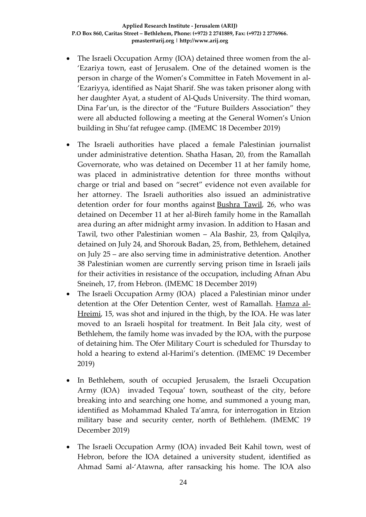- The Israeli Occupation Army (IOA) detained three women from the al-'Ezariya town, east of Jerusalem. One of the detained women is the person in charge of the Women's Committee in Fateh Movement in al- 'Ezariyya, identified as Najat Sharif. She was taken prisoner along with her daughter Ayat, a student of Al-Quds University. The third woman, Dina Far'un, is the director of the "Future Builders Association" they were all abducted following a meeting at the General Women's Union building in Shu'fat refugee camp. (IMEMC 18 December 2019)
- The Israeli authorities have placed a female Palestinian journalist under administrative detention. Shatha Hasan, 20, from the Ramallah Governorate, who was detained on December 11 at her family home, was placed in administrative detention for three months without charge or trial and based on "secret" evidence not even available for her attorney. The Israeli authorities also issued an administrative detention order for four months against [Bushra Tawil,](http://imemc.org/article/female-journalist-placed-under-administrative-detention-for-four-months/) 26, who was detained on December 11 at her al-Bireh family home in the Ramallah area during an after midnight army invasion. In addition to Hasan and Tawil, two other Palestinian women – Ala Bashir, 23, from Qalqilya, detained on July 24, and Shorouk Badan, 25, from, Bethlehem, detained on July 25 – are also serving time in administrative detention. Another 38 Palestinian women are currently serving prison time in Israeli jails for their activities in resistance of the occupation, including Afnan Abu Sneineh, 17, from Hebron. (IMEMC 18 December 2019)
- The Israeli Occupation Army (IOA) placed a Palestinian minor under detention at the Ofer Detention Center, west of Ramallah. [Hamza al-](http://imemc.org/article/soldiers-shoot-a-palestinian-teen-near-bethlehem/)[Hreimi,](http://imemc.org/article/soldiers-shoot-a-palestinian-teen-near-bethlehem/) 15, was shot and injured in the thigh, by the IOA. He was later moved to an Israeli hospital for treatment. In Beit Jala city, west of Bethlehem, the family home was invaded by the IOA, with the purpose of detaining him. The Ofer Military Court is scheduled for Thursday to hold a hearing to extend al-Harimi's detention. (IMEMC 19 December 2019)
- In Bethlehem, south of occupied Jerusalem, the Israeli Occupation Army (IOA) invaded Teqoua' town, southeast of the city, before breaking into and searching one home, and summoned a young man, identified as Mohammad Khaled Ta'amra, for interrogation in Etzion military base and security center, north of Bethlehem. (IMEMC 19 December 2019)
- The Israeli Occupation Army (IOA) invaded Beit Kahil town, west of Hebron, before the IOA detained a university student, identified as Ahmad Sami al-'Atawna, after ransacking his home. The IOA also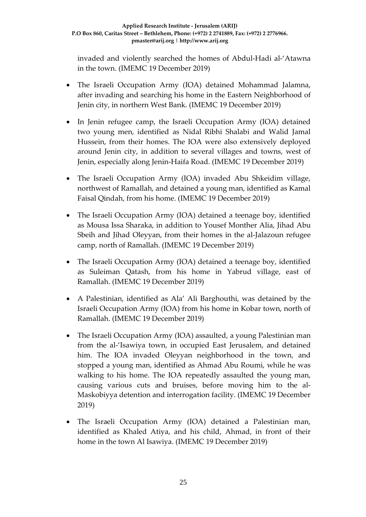invaded and violently searched the homes of Abdul-Hadi al-'Atawna in the town. (IMEMC 19 December 2019)

- The Israeli Occupation Army (IOA) detained Mohammad Jalamna, after invading and searching his home in the Eastern Neighborhood of Jenin city, in northern West Bank. (IMEMC 19 December 2019)
- In Jenin refugee camp, the Israeli Occupation Army (IOA) detained two young men, identified as Nidal Ribhi Shalabi and Walid Jamal Hussein, from their homes. The IOA were also extensively deployed around Jenin city, in addition to several villages and towns, west of Jenin, especially along Jenin-Haifa Road. (IMEMC 19 December 2019)
- The Israeli Occupation Army (IOA) invaded Abu Shkeidim village, northwest of Ramallah, and detained a young man, identified as Kamal Faisal Qindah, from his home. (IMEMC 19 December 2019)
- The Israeli Occupation Army (IOA) detained a teenage boy, identified as Mousa Issa Sharaka, in addition to Yousef Monther Alia, Jihad Abu Sbeih and Jihad Oleyyan, from their homes in the al-Jalazoun refugee camp, north of Ramallah. (IMEMC 19 December 2019)
- The Israeli Occupation Army (IOA) detained a teenage boy, identified as Suleiman Qatash, from his home in Yabrud village, east of Ramallah. (IMEMC 19 December 2019)
- A Palestinian, identified as Ala' Ali Barghouthi, was detained by the Israeli Occupation Army (IOA) from his home in Kobar town, north of Ramallah. (IMEMC 19 December 2019)
- The Israeli Occupation Army (IOA) assaulted, a young Palestinian man from the al-'Isawiya town, in occupied East Jerusalem, and detained him. The IOA invaded Oleyyan neighborhood in the town, and stopped a young man, identified as Ahmad Abu Roumi, while he was walking to his home. The IOA repeatedly assaulted the young man, causing various cuts and bruises, before moving him to the al-Maskobiyya detention and interrogation facility. (IMEMC 19 December 2019)
- The Israeli Occupation Army (IOA) detained a Palestinian man, identified as Khaled Atiya, and his child, Ahmad, in front of their home in the town Al Isawiya. (IMEMC 19 December 2019)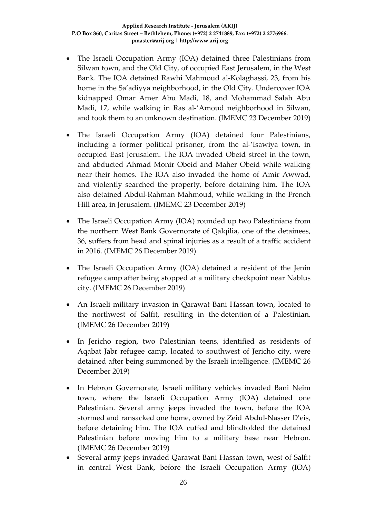- The Israeli Occupation Army (IOA) detained three Palestinians from Silwan town, and the Old City, of occupied East Jerusalem, in the West Bank. The IOA detained Rawhi Mahmoud al-Kolaghassi, 23, from his home in the Sa'adiyya neighborhood, in the Old City. Undercover IOA kidnapped Omar Amer Abu Madi, 18, and Mohammad Salah Abu Madi, 17, while walking in Ras al-'Amoud neighborhood in Silwan, and took them to an unknown destination. (IMEMC 23 December 2019)
- The Israeli Occupation Army (IOA) detained four Palestinians, including a former political prisoner, from the al-'Isawiya town, in occupied East Jerusalem. The IOA invaded Obeid street in the town, and abducted Ahmad Monir Obeid and Maher Obeid while walking near their homes. The IOA also invaded the home of Amir Awwad, and violently searched the property, before detaining him. The IOA also detained Abdul-Rahman Mahmoud, while walking in the French Hill area, in Jerusalem. (IMEMC 23 December 2019)
- The Israeli Occupation Army (IOA) rounded up two Palestinians from the northern West Bank Governorate of Qalqilia, one of the detainees, 36, suffers from head and spinal injuries as a result of a traffic accident in 2016. (IMEMC 26 December 2019)
- The Israeli Occupation Army (IOA) detained a resident of the Jenin refugee camp after being stopped at a military checkpoint near Nablus city. (IMEMC 26 December 2019)
- An Israeli military invasion in Qarawat Bani Hassan town, located to the northwest of Salfit, resulting in the [detention](http://imemc.org/article/soldiers-abduct-two-palestinians-in-salfit-and-jenin/) of a Palestinian. (IMEMC 26 December 2019)
- In Jericho region, two Palestinian teens, identified as residents of Aqabat Jabr refugee camp, located to southwest of Jericho city, were detained after being summoned by the Israeli intelligence. (IMEMC 26 December 2019)
- In Hebron Governorate, Israeli military vehicles invaded Bani Neim town, where the Israeli Occupation Army (IOA) detained one Palestinian. Several army jeeps invaded the town, before the IOA stormed and ransacked one home, owned by Zeid Abdul-Nasser D'eis, before detaining him. The IOA cuffed and blindfolded the detained Palestinian before moving him to a military base near Hebron. (IMEMC 26 December 2019)
- Several army jeeps invaded Qarawat Bani Hassan town, west of Salfit in central West Bank, before the Israeli Occupation Army (IOA)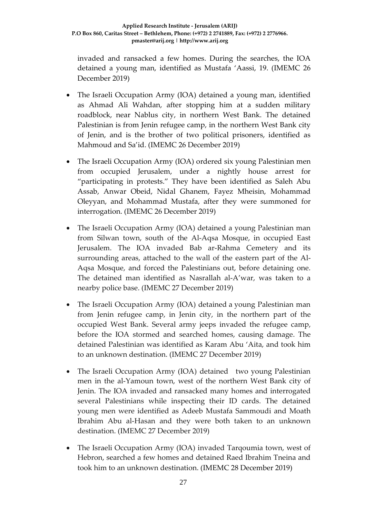invaded and ransacked a few homes. During the searches, the IOA detained a young man, identified as Mustafa 'Aassi, 19. (IMEMC 26 December 2019)

- The Israeli Occupation Army (IOA) detained a young man, identified as Ahmad Ali Wahdan, after stopping him at a sudden military roadblock, near Nablus city, in northern West Bank. The detained Palestinian is from Jenin refugee camp, in the northern West Bank city of Jenin, and is the brother of two political prisoners, identified as Mahmoud and Sa'id. (IMEMC 26 December 2019)
- The Israeli Occupation Army (IOA) ordered six young Palestinian men from occupied Jerusalem, under a nightly house arrest for "participating in protests." They have been identified as Saleh Abu Assab, Anwar Obeid, Nidal Ghanem, Fayez Mheisin, Mohammad Oleyyan, and Mohammad Mustafa, after they were summoned for interrogation. (IMEMC 26 December 2019)
- The Israeli Occupation Army (IOA) detained a young Palestinian man from Silwan town, south of the Al-Aqsa Mosque, in occupied East Jerusalem. The IOA invaded Bab ar-Rahma Cemetery and its surrounding areas, attached to the wall of the eastern part of the Al-Aqsa Mosque, and forced the Palestinians out, before detaining one. The detained man identified as Nasrallah al-A'war, was taken to a nearby police base. (IMEMC 27 December 2019)
- The Israeli Occupation Army (IOA) detained a young Palestinian man from Jenin refugee camp, in Jenin city, in the northern part of the occupied West Bank. Several army jeeps invaded the refugee camp, before the IOA stormed and searched homes, causing damage. The detained Palestinian was identified as Karam Abu 'Aita, and took him to an unknown destination. (IMEMC 27 December 2019)
- The Israeli Occupation Army (IOA) detained two young Palestinian men in the al-Yamoun town, west of the northern West Bank city of Jenin. The IOA invaded and ransacked many homes and interrogated several Palestinians while inspecting their ID cards. The detained young men were identified as Adeeb Mustafa Sammoudi and Moath Ibrahim Abu al-Hasan and they were both taken to an unknown destination. (IMEMC 27 December 2019)
- The Israeli Occupation Army (IOA) invaded Tarqoumia town, west of Hebron, searched a few homes and detained Raed Ibrahim Tneina and took him to an unknown destination. (IMEMC 28 December 2019)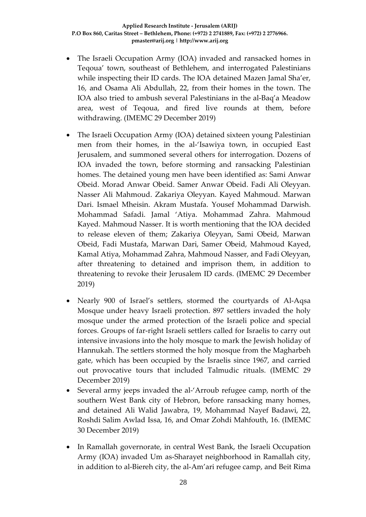- The Israeli Occupation Army (IOA) invaded and ransacked homes in Teqoua' town, southeast of Bethlehem, and interrogated Palestinians while inspecting their ID cards. The IOA detained Mazen Jamal Sha'er, 16, and Osama Ali Abdullah, 22, from their homes in the town. The IOA also tried to ambush several Palestinians in the al-Baq'a Meadow area, west of Teqoua, and fired live rounds at them, before withdrawing. (IMEMC 29 December 2019)
- The Israeli Occupation Army (IOA) detained sixteen young Palestinian men from their homes, in the al-'Isawiya town, in occupied East Jerusalem, and summoned several others for interrogation. Dozens of IOA invaded the town, before storming and ransacking Palestinian homes. The detained young men have been identified as: Sami Anwar Obeid. Morad Anwar Obeid. Samer Anwar Obeid. Fadi Ali Oleyyan. Nasser Ali Mahmoud. Zakariya Oleyyan. Kayed Mahmoud. Marwan Dari. Ismael Mheisin. Akram Mustafa. Yousef Mohammad Darwish. Mohammad Safadi. Jamal 'Atiya. Mohammad Zahra. Mahmoud Kayed. Mahmoud Nasser. It is worth mentioning that the IOA decided to release eleven of them; Zakariya Oleyyan, Sami Obeid, Marwan Obeid, Fadi Mustafa, Marwan Dari, Samer Obeid, Mahmoud Kayed, Kamal Atiya, Mohammad Zahra, Mahmoud Nasser, and Fadi Oleyyan, after threatening to detained and imprison them, in addition to threatening to revoke their Jerusalem ID cards. (IMEMC 29 December 2019)
- Nearly 900 of Israel's settlers, stormed the courtyards of Al-Aqsa Mosque under heavy Israeli protection. 897 settlers invaded the holy mosque under the armed protection of the Israeli police and special forces. Groups of far-right Israeli settlers called for Israelis to carry out intensive invasions into the holy mosque to mark the Jewish holiday of Hannukah. The settlers stormed the holy mosque from the Magharbeh gate, which has been occupied by the Israelis since 1967, and carried out provocative tours that included Talmudic rituals. (IMEMC 29 December 2019)
- Several army jeeps invaded the al-'Arroub refugee camp, north of the southern West Bank city of Hebron, before ransacking many homes, and detained Ali Walid Jawabra, 19, Mohammad Nayef Badawi, 22, Roshdi Salim Awlad Issa, 16, and Omar Zohdi Mahfouth, 16. (IMEMC 30 December 2019)
- In Ramallah governorate, in central West Bank, the Israeli Occupation Army (IOA) invaded Um as-Sharayet neighborhood in Ramallah city, in addition to al-Biereh city, the al-Am'ari refugee camp, and Beit Rima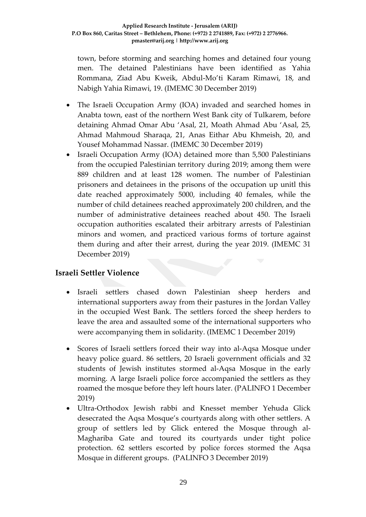town, before storming and searching homes and detained four young men. The detained Palestinians have been identified as Yahia Rommana, Ziad Abu Kweik, Abdul-Mo'ti Karam Rimawi, 18, and Nabigh Yahia Rimawi, 19. (IMEMC 30 December 2019)

- The Israeli Occupation Army (IOA) invaded and searched homes in Anabta town, east of the northern West Bank city of Tulkarem, before detaining Ahmad Omar Abu 'Asal, 21, Moath Ahmad Abu 'Asal, 25, Ahmad Mahmoud Sharaqa, 21, Anas Eithar Abu Khmeish, 20, and Yousef Mohammad Nassar. (IMEMC 30 December 2019)
- Israeli Occupation Army (IOA) detained more than 5,500 Palestinians from the occupied Palestinian territory during 2019; among them were 889 children and at least 128 women. The number of Palestinian prisoners and detainees in the prisons of the occupation up unitl this date reached approximately 5000, including 40 females, while the number of child detainees reached approximately 200 children, and the number of administrative detainees reached about 450. The Israeli occupation authorities escalated their arbitrary arrests of Palestinian minors and women, and practiced various forms of torture against them during and after their arrest, during the year 2019. (IMEMC 31 December 2019)

## **Israeli Settler Violence**

- Israeli settlers chased down Palestinian sheep herders and international supporters away from their pastures in the Jordan Valley in the occupied West Bank. The settlers forced the sheep herders to leave the area and assaulted some of the international supporters who were accompanying them in solidarity. (IMEMC 1 December 2019)
- Scores of Israeli settlers forced their way into al-Aqsa Mosque under heavy police guard. 86 settlers, 20 Israeli government officials and 32 students of Jewish institutes stormed al-Aqsa Mosque in the early morning. A large Israeli police force accompanied the settlers as they roamed the mosque before they left hours later. (PALINFO 1 December 2019)
- Ultra-Orthodox Jewish rabbi and Knesset member Yehuda Glick desecrated the Aqsa Mosque's courtyards along with other settlers. A group of settlers led by Glick entered the Mosque through al-Maghariba Gate and toured its courtyards under tight police protection. 62 settlers escorted by police forces stormed the Aqsa Mosque in different groups. (PALINFO 3 December 2019)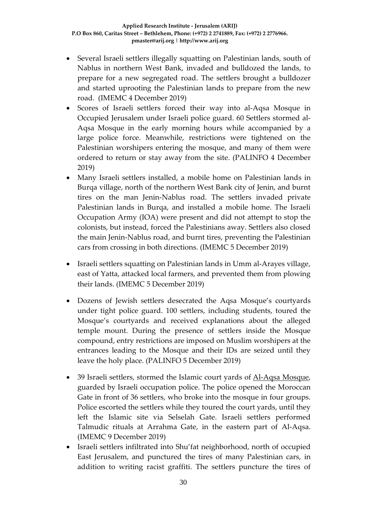- Several Israeli settlers illegally squatting on Palestinian lands, south of Nablus in northern West Bank, invaded and bulldozed the lands, to prepare for a new segregated road. The settlers brought a bulldozer and started uprooting the Palestinian lands to prepare from the new road. (IMEMC 4 December 2019)
- Scores of Israeli settlers forced their way into al-Aqsa Mosque in Occupied Jerusalem under Israeli police guard. 60 Settlers stormed al-Aqsa Mosque in the early morning hours while accompanied by a large police force. Meanwhile, restrictions were tightened on the Palestinian worshipers entering the mosque, and many of them were ordered to return or stay away from the site. (PALINFO 4 December 2019)
- Many Israeli settlers installed, a mobile home on Palestinian lands in Burqa village, north of the northern West Bank city of Jenin, and burnt tires on the man Jenin-Nablus road. The settlers invaded private Palestinian lands in Burqa, and installed a mobile home. The Israeli Occupation Army (IOA) were present and did not attempt to stop the colonists, but instead, forced the Palestinians away. Settlers also closed the main Jenin-Nablus road, and burnt tires, preventing the Palestinian cars from crossing in both directions. (IMEMC 5 December 2019)
- Israeli settlers squatting on Palestinian lands in Umm al-Arayes village, east of Yatta, attacked local farmers, and prevented them from plowing their lands. (IMEMC 5 December 2019)
- Dozens of Jewish settlers desecrated the Aqsa Mosque's courtyards under tight police guard. 100 settlers, including students, toured the Mosque's courtyards and received explanations about the alleged temple mount. During the presence of settlers inside the Mosque compound, entry restrictions are imposed on Muslim worshipers at the entrances leading to the Mosque and their IDs are seized until they leave the holy place. (PALINFO 5 December 2019)
- 39 Israeli settlers, stormed the Islamic court yards of [Al-Aqsa Mosque,](https://imemc.org/?s=al+aqsa+mosque) guarded by Israeli occupation police. The police opened the Moroccan Gate in front of 36 settlers, who broke into the mosque in four groups. Police escorted the settlers while they toured the court yards, until they left the Islamic site via Selselah Gate. Israeli settlers performed Talmudic rituals at Arrahma Gate, in the eastern part of Al-Aqsa. (IMEMC 9 December 2019)
- Israeli settlers infiltrated into Shu'fat neighborhood, north of occupied East Jerusalem, and punctured the tires of many Palestinian cars, in addition to writing racist graffiti. The settlers puncture the tires of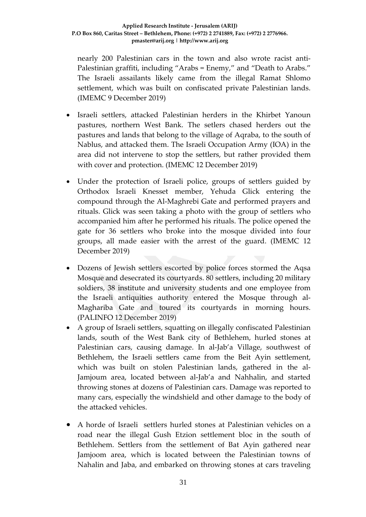nearly 200 Palestinian cars in the town and also wrote racist anti-Palestinian graffiti, including "Arabs = Enemy," and "Death to Arabs." The Israeli assailants likely came from the illegal Ramat Shlomo settlement, which was built on confiscated private Palestinian lands. (IMEMC 9 December 2019)

- Israeli settlers, attacked Palestinian herders in the Khirbet Yanoun pastures, northern West Bank. The setlers chased herders out the pastures and lands that belong to the village of Aqraba, to the south of Nablus, and attacked them. The Israeli Occupation Army (IOA) in the area did not intervene to stop the settlers, but rather provided them with cover and protection. (IMEMC 12 December 2019)
- Under the protection of Israeli police, groups of settlers guided by Orthodox Israeli Knesset member, Yehuda Glick entering the compound through the Al-Maghrebi Gate and performed prayers and rituals. Glick was seen taking a photo with the group of settlers who accompanied him after he performed his rituals. The police opened the gate for 36 settlers who broke into the mosque divided into four groups, all made easier with the arrest of the guard. (IMEMC 12 December 2019)
- Dozens of Jewish settlers escorted by police forces stormed the Aqsa Mosque and desecrated its courtyards. 80 settlers, including 20 military soldiers, 38 institute and university students and one employee from the Israeli antiquities authority entered the Mosque through al-Maghariba Gate and toured its courtyards in morning hours. (PALINFO 12 December 2019)
- A group of Israeli settlers, squatting on illegally confiscated Palestinian lands, south of the West Bank city of Bethlehem, hurled stones at Palestinian cars, causing damage. In al-Jab'a Village, southwest of Bethlehem, the Israeli settlers came from the Beit Ayin settlement, which was built on stolen Palestinian lands, gathered in the al-Jamjoum area, located between al-Jab'a and Nahhalin, and started throwing stones at dozens of Palestinian cars. Damage was reported to many cars, especially the windshield and other damage to the body of the attacked vehicles.
- A horde of Israeli settlers hurled stones at Palestinian vehicles on a road near the illegal Gush Etzion settlement bloc in the south of Bethlehem. Settlers from the settlement of Bat Ayin gathered near Jamjoom area, which is located between the Palestinian towns of Nahalin and Jaba, and embarked on throwing stones at cars traveling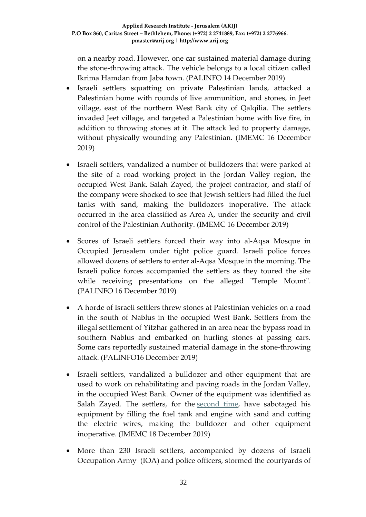on a nearby road. However, one car sustained material damage during the stone-throwing attack. The vehicle belongs to a local citizen called Ikrima Hamdan from Jaba town. (PALINFO 14 December 2019)

- Israeli settlers squatting on private Palestinian lands, attacked a Palestinian home with rounds of live ammunition, and stones, in Jeet village, east of the northern West Bank city of Qalqilia. The settlers invaded Jeet village, and targeted a Palestinian home with live fire, in addition to throwing stones at it. The attack led to property damage, without physically wounding any Palestinian. (IMEMC 16 December 2019)
- Israeli settlers, vandalized a number of bulldozers that were parked at the site of a road working project in the Jordan Valley region, the occupied West Bank. Salah Zayed, the project contractor, and staff of the company were shocked to see that Jewish settlers had filled the fuel tanks with sand, making the bulldozers inoperative. The attack occurred in the area classified as Area A, under the security and civil control of the Palestinian Authority. (IMEMC 16 December 2019)
- Scores of Israeli settlers forced their way into al-Aqsa Mosque in Occupied Jerusalem under tight police guard. Israeli police forces allowed dozens of settlers to enter al-Aqsa Mosque in the morning. The Israeli police forces accompanied the settlers as they toured the site while receiving presentations on the alleged "Temple Mount". (PALINFO 16 December 2019)
- A horde of Israeli settlers threw stones at Palestinian vehicles on a road in the south of Nablus in the occupied West Bank. Settlers from the illegal settlement of Yitzhar gathered in an area near the bypass road in southern Nablus and embarked on hurling stones at passing cars. Some cars reportedly sustained material damage in the stone-throwing attack. (PALINFO16 December 2019)
- Israeli settlers, vandalized a bulldozer and other equipment that are used to work on rehabilitating and paving roads in the Jordan Valley, in the occupied West Bank. Owner of the equipment was identified as Salah Zayed. The settlers, for the [second time,](http://imemc.org/article/settlers-damage-road-equipment-in-jordan-valley/) have sabotaged his equipment by filling the fuel tank and engine with sand and cutting the electric wires, making the bulldozer and other equipment inoperative. (IMEMC 18 December 2019)
- More than 230 Israeli settlers, accompanied by dozens of Israeli Occupation Army (IOA) and police officers, stormed the courtyards of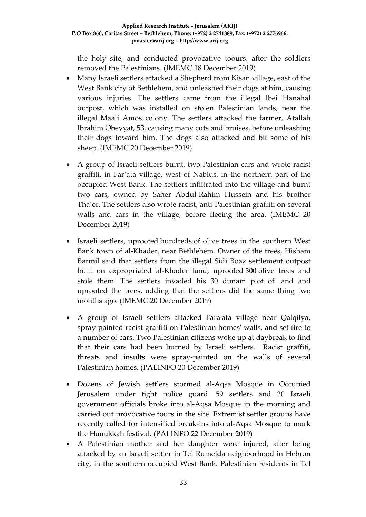the holy site, and conducted provocative toours, after the soldiers removed the Palestinians. (IMEMC 18 December 2019)

- Many Israeli settlers attacked a Shepherd from Kisan village, east of the West Bank city of Bethlehem, and unleashed their dogs at him, causing various injuries. The settlers came from the illegal Ibei Hanahal outpost, which was installed on stolen Palestinian lands, near the illegal Maali Amos colony. The settlers attacked the farmer, Atallah Ibrahim Obeyyat, 53, causing many cuts and bruises, before unleashing their dogs toward him. The dogs also attacked and bit some of his sheep. (IMEMC 20 December 2019)
- A group of Israeli settlers burnt, two Palestinian cars and wrote racist graffiti, in Far'ata village, west of Nablus, in the northern part of the occupied West Bank. The settlers infiltrated into the village and burnt two cars, owned by Saher Abdul-Rahim Hussein and his brother Tha'er. The settlers also wrote racist, anti-Palestinian graffiti on several walls and cars in the village, before fleeing the area. (IMEMC 20 December 2019)
- Israeli settlers, uprooted hundreds of olive trees in the southern West Bank town of al-Khader, near Bethlehem. Owner of the trees, Hisham Barmil said that settlers from the illegal Sidi Boaz settlement outpost built on expropriated al-Khader land, uprooted **300** olive trees and stole them. The settlers invaded his 30 dunam plot of land and uprooted the trees, adding that the settlers did the same thing two months ago. (IMEMC 20 December 2019)
- A group of Israeli settlers attacked Fara'ata village near Qalqilya, spray-painted racist graffiti on Palestinian homes' walls, and set fire to a number of cars. Two Palestinian citizens woke up at daybreak to find that their cars had been burned by Israeli settlers. Racist graffiti, threats and insults were spray-painted on the walls of several Palestinian homes. (PALINFO 20 December 2019)
- Dozens of Jewish settlers stormed al-Aqsa Mosque in Occupied Jerusalem under tight police guard. 59 settlers and 20 Israeli government officials broke into al-Aqsa Mosque in the morning and carried out provocative tours in the site. Extremist settler groups have recently called for intensified break-ins into al-Aqsa Mosque to mark the Hanukkah festival. (PALINFO 22 December 2019)
- A Palestinian mother and her daughter were injured, after being attacked by an Israeli settler in Tel Rumeida neighborhood in Hebron city, in the southern occupied West Bank. Palestinian residents in Tel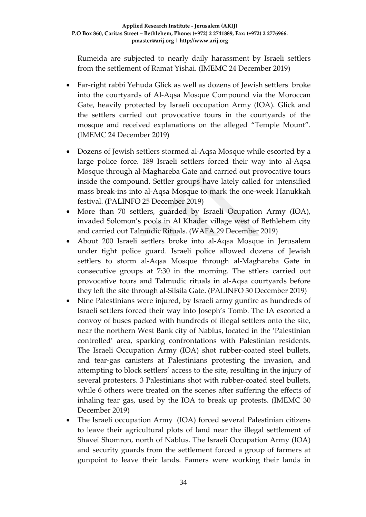Rumeida are subjected to nearly daily harassment by Israeli settlers from the settlement of Ramat Yishai. (IMEMC 24 December 2019)

- Far-right rabbi Yehuda Glick as well as dozens of Jewish settlers broke into the courtyards of Al-Aqsa Mosque Compound via the Moroccan Gate, heavily protected by Israeli occupation Army (IOA). Glick and the settlers carried out provocative tours in the courtyards of the mosque and received explanations on the alleged "Temple Mount". (IMEMC 24 December 2019)
- Dozens of Jewish settlers stormed al-Aqsa Mosque while escorted by a large police force. 189 Israeli settlers forced their way into al-Aqsa Mosque through al-Maghareba Gate and carried out provocative tours inside the compound. Settler groups have lately called for intensified mass break-ins into al-Aqsa Mosque to mark the one-week Hanukkah festival. (PALINFO 25 December 2019)
- More than 70 settlers, guarded by Israeli Ocupation Army (IOA), invaded Solomon's pools in Al Khader village west of Bethlehem city and carried out Talmudic Rituals. (WAFA 29 December 2019)
- About 200 Israeli settlers broke into al-Aqsa Mosque in Jerusalem under tight police guard. Israeli police allowed dozens of Jewish settlers to storm al-Aqsa Mosque through al-Maghareba Gate in consecutive groups at 7:30 in the morning. The sttlers carried out provocative tours and Talmudic rituals in al-Aqsa courtyards before they left the site through al-Silsila Gate. (PALINFO 30 December 2019)
- Nine Palestinians were injured, by Israeli army gunfire as hundreds of Israeli settlers forced their way into Joseph's Tomb. The IA escorted a convoy of buses packed with hundreds of illegal settlers onto the site, near the northern West Bank city of Nablus, located in the 'Palestinian controlled' area, sparking confrontations with Palestinian residents. The Israeli Occupation Army (IOA) shot rubber-coated steel bullets, and tear-gas canisters at Palestinians protesting the invasion, and attempting to block settlers' access to the site, resulting in the injury of several protesters. 3 Palestinians shot with rubber-coated steel bullets, while 6 others were treated on the scenes after suffering the effects of inhaling tear gas, used by the IOA to break up protests. (IMEMC 30 December 2019)
- The Israeli occupation Army (IOA) forced several Palestinian citizens to leave their agricultural plots of land near the illegal settlement of Shavei Shomron, north of Nablus. The Israeli Occupation Army (IOA) and security guards from the settlement forced a group of farmers at gunpoint to leave their lands. Famers were working their lands in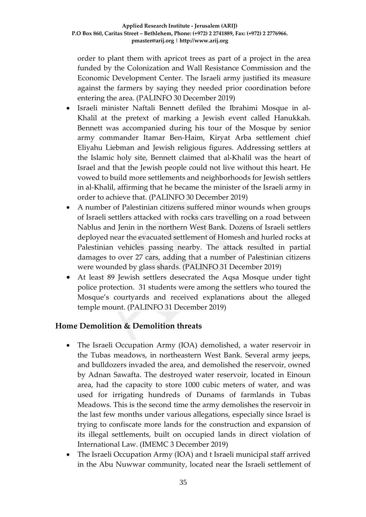order to plant them with apricot trees as part of a project in the area funded by the Colonization and Wall Resistance Commission and the Economic Development Center. The Israeli army justified its measure against the farmers by saying they needed prior coordination before entering the area. (PALINFO 30 December 2019)

- Israeli minister Naftali Bennett defiled the Ibrahimi Mosque in al-Khalil at the pretext of marking a Jewish event called Hanukkah. Bennett was accompanied during his tour of the Mosque by senior army commander Itamar Ben-Haim, Kiryat Arba settlement chief Eliyahu Liebman and Jewish religious figures. Addressing settlers at the Islamic holy site, Bennett claimed that al-Khalil was the heart of Israel and that the Jewish people could not live without this heart. He vowed to build more settlements and neighborhoods for Jewish settlers in al-Khalil, affirming that he became the minister of the Israeli army in order to achieve that. (PALINFO 30 December 2019)
- A number of Palestinian citizens suffered minor wounds when groups of Israeli settlers attacked with rocks cars travelling on a road between Nablus and Jenin in the northern West Bank. Dozens of Israeli settlers deployed near the evacuated settlement of Homesh and hurled rocks at Palestinian vehicles passing nearby. The attack resulted in partial damages to over 27 cars, adding that a number of Palestinian citizens were wounded by glass shards. (PALINFO 31 December 2019)
- At least 89 Jewish settlers desecrated the Aqsa Mosque under tight police protection. 31 students were among the settlers who toured the Mosque's courtyards and received explanations about the alleged temple mount. (PALINFO 31 December 2019)

## **Home Demolition & Demolition threats**

- The Israeli Occupation Army (IOA) demolished, a water reservoir in the Tubas meadows, in northeastern West Bank. Several army jeeps, and bulldozers invaded the area, and demolished the reservoir, owned by Adnan Sawafta. The destroyed water reservoir, located in Einoun area, had the capacity to store 1000 cubic meters of water, and was used for irrigating hundreds of Dunams of farmlands in Tubas Meadows. This is the second time the army demolishes the reservoir in the last few months under various allegations, especially since Israel is trying to confiscate more lands for the construction and expansion of its illegal settlements, built on occupied lands in direct violation of International Law. (IMEMC 3 December 2019)
- The Israeli Occupation Army (IOA) and t Israeli municipal staff arrived in the Abu Nuwwar community, located near the Israeli settlement of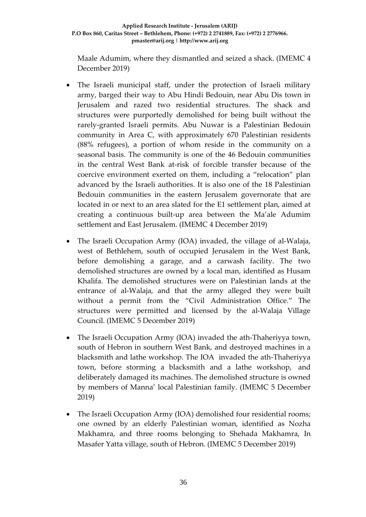Maale Adumim, where they dismantled and seized a shack. (IMEMC 4 December 2019)

- The Israeli municipal staff, under the protection of Israeli military army, barged their way to Abu Hindi Bedouin, near Abu Dis town in Jerusalem and razed two residential structures. The shack and structures were purportedly demolished for being built without the rarely-granted Israeli permits. Abu Nuwar is a Palestinian Bedouin community in Area C, with approximately 670 Palestinian residents (88% refugees), a portion of whom reside in the community on a seasonal basis. The community is one of the 46 Bedouin communities in the central West Bank at-risk of forcible transfer because of the coercive environment exerted on them, including a "relocation" plan advanced by the Israeli authorities. It is also one of the 18 Palestinian Bedouin communities in the eastern Jerusalem governorate that are located in or next to an area slated for the E1 settlement plan, aimed at creating a continuous built-up area between the Ma'ale Adumim settlement and East Jerusalem. (IMEMC 4 December 2019)
- The Israeli Occupation Army (IOA) invaded, the village of al-Walaja, west of Bethlehem, south of occupied Jerusalem in the West Bank, before demolishing a garage, and a carwash facility. The two demolished structures are owned by a local man, identified as Husam Khalifa. The demolished structures were on Palestinian lands at the entrance of al-Walaja, and that the army alleged they were built without a permit from the "Civil Administration Office." The structures were permitted and licensed by the al-Walaja Village Council. (IMEMC 5 December 2019)
- The Israeli Occupation Army (IOA) invaded the ath-Thaheriyya town, south of Hebron in southern West Bank, and destroyed machines in a blacksmith and lathe workshop. The IOA invaded the ath-Thaheriyya town, before storming a blacksmith and a lathe workshop, and deliberately damaged its machines. The demolished structure is owned by members of Manna' local Palestinian family. (IMEMC 5 December 2019)
- The Israeli Occupation Army (IOA) demolished four residential rooms; one owned by an elderly Palestinian woman, identified as Nozha Makhamra, and three rooms belonging to Shehada Makhamra, In Masafer Yatta village, south of Hebron. (IMEMC 5 December 2019)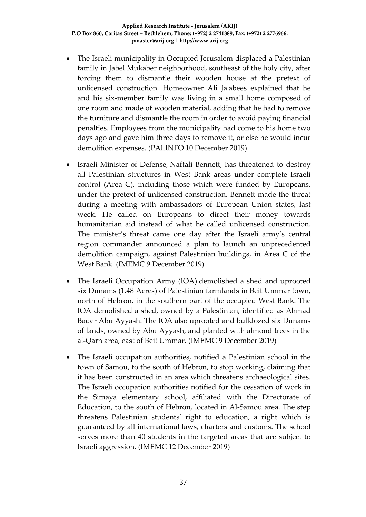- The Israeli municipality in Occupied Jerusalem displaced a Palestinian family in Jabel Mukaber neighborhood, southeast of the holy city, after forcing them to dismantle their wooden house at the pretext of unlicensed construction. Homeowner Ali Ja'abees explained that he and his six-member family was living in a small home composed of one room and made of wooden material, adding that he had to remove the furniture and dismantle the room in order to avoid paying financial penalties. Employees from the municipality had come to his home two days ago and gave him three days to remove it, or else he would incur demolition expenses. (PALINFO 10 December 2019)
- Israeli Minister of Defense, [Naftali Bennett,](https://imemc.org/?s=naftali+bennett) has threatened to destroy all Palestinian structures in West Bank areas under complete Israeli control (Area C), including those which were funded by Europeans, under the pretext of unlicensed construction. Bennett made the threat during a meeting with ambassadors of European Union states, last week. He called on Europeans to direct their money towards humanitarian aid instead of what he called unlicensed construction. The minister's threat came one day after the Israeli army's central region commander announced a plan to launch an unprecedented demolition campaign, against Palestinian buildings, in Area C of the West Bank. (IMEMC 9 December 2019)
- The Israeli Occupation Army (IOA) demolished a shed and uprooted six Dunams (1.48 Acres) of Palestinian farmlands in Beit Ummar town, north of Hebron, in the southern part of the occupied West Bank. The IOA demolished a shed, owned by a Palestinian, identified as Ahmad Bader Abu Ayyash. The IOA also uprooted and bulldozed six Dunams of lands, owned by Abu Ayyash, and planted with almond trees in the al-Qarn area, east of Beit Ummar. (IMEMC 9 December 2019)
- The Israeli occupation authorities, notified a Palestinian school in the town of Samou, to the south of Hebron, to stop working, claiming that it has been constructed in an area which threatens archaeological sites. The Israeli occupation authorities notified for the cessation of work in the Simaya elementary school, affiliated with the Directorate of Education, to the south of Hebron, located in Al-Samou area. The step threatens Palestinian students' right to education, a right which is guaranteed by all international laws, charters and customs. The school serves more than 40 students in the targeted areas that are subject to Israeli aggression. (IMEMC 12 December 2019)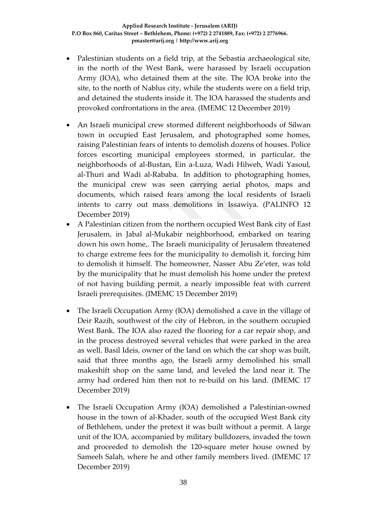- Palestinian students on a field trip, at the Sebastia archaeological site, in the north of the West Bank, were harassed by Israeli occupation Army (IOA), who detained them at the site. The IOA broke into the site, to the north of Nablus city, while the students were on a field trip, and detained the students inside it. The IOA harassed the students and provoked confrontations in the area. (IMEMC 12 December 2019)
- An Israeli municipal crew stormed different neighborhoods of Silwan town in occupied East Jerusalem, and photographed some homes, raising Palestinian fears of intents to demolish dozens of houses. Police forces escorting municipal employees stormed, in particular, the neighborhoods of al-Bustan, Ein a-Luza, Wadi Hilweh, Wadi Yasoul, al-Thuri and Wadi al-Rababa. In addition to photographing homes, the municipal crew was seen carrying aerial photos, maps and documents, which raised fears among the local residents of Israeli intents to carry out mass demolitions in Issawiya. (PALINFO 12 December 2019)
- A Palestinian citizen from the northern occupied West Bank city of East Jerusalem, in Jabal al-Mukabir neighborhood, embarked on tearing down his own home,. The Israeli municipality of Jerusalem threatened to charge extreme fees for the municipality to demolish it, forcing him to demolish it himself. The homeowner, Nasser Abu Ze'eter, was told by the municipality that he must demolish his home under the pretext of not having building permit, a nearly impossible feat with current Israeli prerequisites. (IMEMC 15 December 2019)
- The Israeli Occupation Army (IOA) demolished a cave in the village of Deir Razih, southwest of the city of Hebron, in the southern occupied West Bank. The IOA also razed the flooring for a car repair shop, and in the process destroyed several vehicles that were parked in the area as well. Basil Ideis, owner of the land on which the car shop was built, said that three months ago, the Israeli army demolished his small makeshift shop on the same land, and leveled the land near it. The army had ordered him then not to re-build on his land. (IMEMC 17 December 2019)
- The Israeli Occupation Army (IOA) demolished a Palestinian-owned house in the town of al-Khader, south of the occupied West Bank city of Bethlehem, under the pretext it was built without a permit. A large unit of the IOA, accompanied by military bulldozers, invaded the town and proceeded to demolish the 120-square meter house owned by Sameeh Salah, where he and other family members lived. (IMEMC 17 December 2019)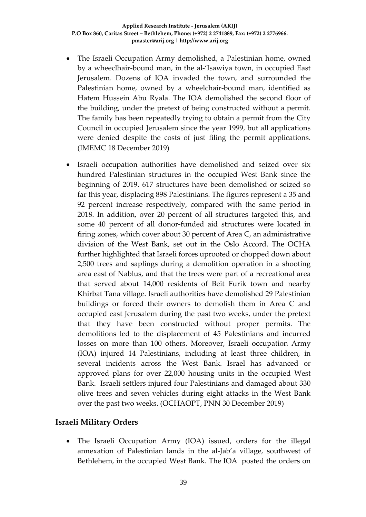- The Israeli Occupation Army demolished, a Palestinian home, owned by a wheeclhair-bound man, in the al-'Isawiya town, in occupied East Jerusalem. Dozens of IOA invaded the town, and surrounded the Palestinian home, owned by a wheelchair-bound man, identified as Hatem Hussein Abu Ryala. The IOA demolished the second floor of the building, under the pretext of being constructed without a permit. The family has been repeatedly trying to obtain a permit from the City Council in occupied Jerusalem since the year 1999, but all applications were denied despite the costs of just filing the permit applications. (IMEMC 18 December 2019)
- Israeli occupation authorities have demolished and seized over six hundred Palestinian structures in the occupied West Bank since the beginning of 2019. 617 structures have been demolished or seized so far this year, displacing 898 Palestinians. The figures represent a 35 and 92 percent increase respectively, compared with the same period in 2018. In addition, over 20 percent of all structures targeted this, and some 40 percent of all donor-funded aid structures were located in firing zones, which cover about 30 percent of Area C, an administrative division of the West Bank, set out in the Oslo Accord. The OCHA further highlighted that Israeli forces uprooted or chopped down about 2,500 trees and saplings during a demolition operation in a shooting area east of Nablus, and that the trees were part of a recreational area that served about 14,000 residents of Beit Furik town and nearby Khirbat Tana village. Israeli authorities have demolished 29 Palestinian buildings or forced their owners to demolish them in Area C and occupied east Jerusalem during the past two weeks, under the pretext that they have been constructed without proper permits. The demolitions led to the displacement of 45 Palestinians and incurred losses on more than 100 others. Moreover, Israeli occupation Army (IOA) injured 14 Palestinians, including at least three children, in several incidents across the West Bank. Israel has advanced or approved plans for over 22,000 housing units in the occupied West Bank. Israeli settlers injured four Palestinians and damaged about 330 olive trees and seven vehicles during eight attacks in the West Bank over the past two weeks. (OCHAOPT, PNN 30 December 2019)

## **Israeli Military Orders**

• The Israeli Occupation Army (IOA) issued, orders for the illegal annexation of Palestinian lands in the al-Jab'a village, southwest of Bethlehem, in the occupied West Bank. The IOA posted the orders on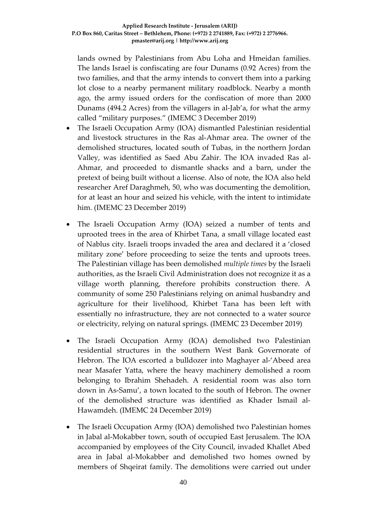lands owned by Palestinians from Abu Loha and Hmeidan families. The lands Israel is confiscating are four Dunams (0.92 Acres) from the two families, and that the army intends to convert them into a parking lot close to a nearby permanent military roadblock. Nearby a month ago, the army issued orders for the confiscation of more than 2000 Dunams (494.2 Acres) from the villagers in al-Jab'a, for what the army called "military purposes." (IMEMC 3 December 2019)

- The Israeli Occupation Army (IOA) dismantled Palestinian residential and livestock structures in the Ras al-Ahmar area. The owner of the demolished structures, located south of Tubas, in the northern Jordan Valley, was identified as Saed Abu Zahir. The IOA invaded Ras al-Ahmar, and proceeded to dismantle shacks and a barn, under the pretext of being built without a license. Also of note, the IOA also held researcher Aref Daraghmeh, 50, who was documenting the demolition, for at least an hour and seized his vehicle, with the intent to intimidate him. (IMEMC 23 December 2019)
- The Israeli Occupation Army (IOA) seized a number of tents and uprooted trees in the area of Khirbet Tana, a small village located east of Nablus city. Israeli troops invaded the area and declared it a 'closed military zone' before proceeding to seize the tents and uproots trees. The Palestinian village has been demolished *multiple times* by the Israeli authorities, as the Israeli Civil Administration does not recognize it as a village worth planning, therefore prohibits construction there. A community of some 250 Palestinians relying on animal husbandry and agriculture for their livelihood, Khirbet Tana has been left with essentially no infrastructure, they are not connected to a water source or electricity, relying on natural springs. (IMEMC 23 December 2019)
- The Israeli Occupation Army (IOA) demolished two Palestinian residential structures in the southern West Bank Governorate of Hebron. The IOA escorted a bulldozer into Maghayer al-'Abeed area near Masafer Yatta, where the heavy machinery demolished a room belonging to Ibrahim Shehadeh. A residential room was also torn down in As-Samu', a town located to the south of Hebron. The owner of the demolished structure was identified as Khader Ismail al-Hawamdeh. (IMEMC 24 December 2019)
- The Israeli Occupation Army (IOA) demolished two Palestinian homes in Jabal al-Mokabber town, south of occupied East Jerusalem. The IOA accompanied by employees of the City Council, invaded Khallet Abed area in Jabal al-Mokabber and demolished two homes owned by members of Shqeirat family. The demolitions were carried out under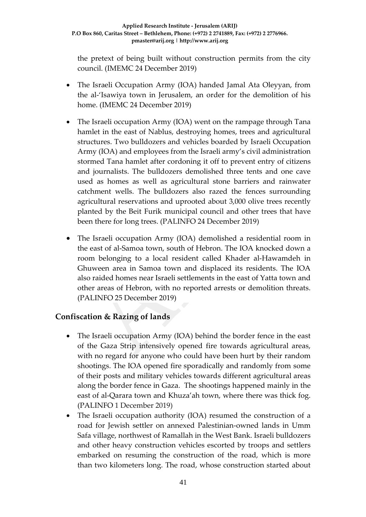the pretext of being built without construction permits from the city council. (IMEMC 24 December 2019)

- The Israeli Occupation Army (IOA) handed Jamal Ata Oleyyan, from the al-'Isawiya town in Jerusalem, an order for the demolition of his home. (IMEMC 24 December 2019)
- The Israeli occupation Army (IOA) went on the rampage through Tana hamlet in the east of Nablus, destroying homes, trees and agricultural structures. Two bulldozers and vehicles boarded by Israeli Occupation Army (IOA) and employees from the Israeli army's civil administration stormed Tana hamlet after cordoning it off to prevent entry of citizens and journalists. The bulldozers demolished three tents and one cave used as homes as well as agricultural stone barriers and rainwater catchment wells. The bulldozers also razed the fences surrounding agricultural reservations and uprooted about 3,000 olive trees recently planted by the Beit Furik municipal council and other trees that have been there for long trees. (PALINFO 24 December 2019)
- The Israeli occupation Army (IOA) demolished a residential room in the east of al-Samoa town, south of Hebron. The IOA knocked down a room belonging to a local resident called Khader al-Hawamdeh in Ghuween area in Samoa town and displaced its residents. The IOA also raided homes near Israeli settlements in the east of Yatta town and other areas of Hebron, with no reported arrests or demolition threats. (PALINFO 25 December 2019)

# **Confiscation & Razing of lands**

- The Israeli occupation Army (IOA) behind the border fence in the east of the Gaza Strip intensively opened fire towards agricultural areas, with no regard for anyone who could have been hurt by their random shootings. The IOA opened fire sporadically and randomly from some of their posts and military vehicles towards different agricultural areas along the border fence in Gaza. The shootings happened mainly in the east of al-Qarara town and Khuza'ah town, where there was thick fog. (PALINFO 1 December 2019)
- The Israeli occupation authority (IOA) resumed the construction of a road for Jewish settler on annexed Palestinian-owned lands in Umm Safa village, northwest of Ramallah in the West Bank. Israeli bulldozers and other heavy construction vehicles escorted by troops and settlers embarked on resuming the construction of the road, which is more than two kilometers long. The road, whose construction started about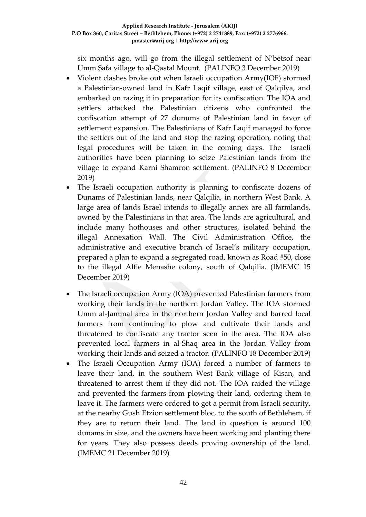six months ago, will go from the illegal settlement of N'betsof near Umm Safa village to al-Qastal Mount. (PALINFO 3 December 2019)

- Violent clashes broke out when Israeli occupation Army(IOF) stormed a Palestinian-owned land in Kafr Laqif village, east of Qalqilya, and embarked on razing it in preparation for its confiscation. The IOA and settlers attacked the Palestinian citizens who confronted the confiscation attempt of 27 dunums of Palestinian land in favor of settlement expansion. The Palestinians of Kafr Laqif managed to force the settlers out of the land and stop the razing operation, noting that legal procedures will be taken in the coming days. The Israeli authorities have been planning to seize Palestinian lands from the village to expand Karni Shamron settlement. (PALINFO 8 December 2019)
- The Israeli occupation authority is planning to confiscate dozens of Dunams of Palestinian lands, near Qalqilia, in northern West Bank. A large area of lands Israel intends to illegally annex are all farmlands, owned by the Palestinians in that area. The lands are agricultural, and include many hothouses and other structures, isolated behind the illegal Annexation Wall. The Civil Administration Office, the administrative and executive branch of Israel's military occupation, prepared a plan to expand a segregated road, known as Road #50, close to the illegal Alfie Menashe colony, south of Qalqilia. (IMEMC 15 December 2019)
- The Israeli occupation Army (IOA) prevented Palestinian farmers from working their lands in the northern Jordan Valley. The IOA stormed Umm al-Jammal area in the northern Jordan Valley and barred local farmers from continuing to plow and cultivate their lands and threatened to confiscate any tractor seen in the area. The IOA also prevented local farmers in al-Shaq area in the Jordan Valley from working their lands and seized a tractor. (PALINFO 18 December 2019)
- The Israeli Occupation Army (IOA) forced a number of farmers to leave their land, in the southern West Bank village of Kisan, and threatened to arrest them if they did not. The IOA raided the village and prevented the farmers from plowing their land, ordering them to leave it. The farmers were ordered to get a permit from Israeli security, at the nearby Gush Etzion settlement bloc, to the south of Bethlehem, if they are to return their land. The land in question is around 100 dunams in size, and the owners have been working and planting there for years. They also possess deeds proving ownership of the land. (IMEMC 21 December 2019)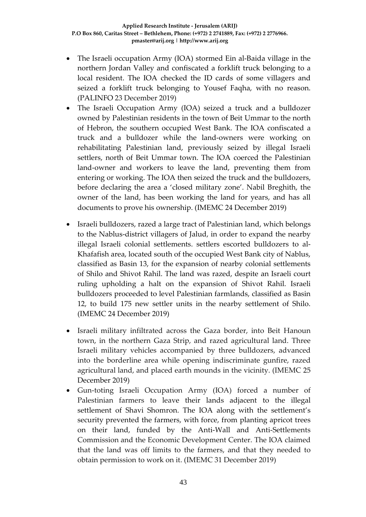- The Israeli occupation Army (IOA) stormed Ein al-Baida village in the northern Jordan Valley and confiscated a forklift truck belonging to a local resident. The IOA checked the ID cards of some villagers and seized a forklift truck belonging to Yousef Faqha, with no reason. (PALINFO 23 December 2019)
- The Israeli Occupation Army (IOA) seized a truck and a bulldozer owned by Palestinian residents in the town of Beit Ummar to the north of Hebron, the southern occupied West Bank. The IOA confiscated a truck and a bulldozer while the land-owners were working on rehabilitating Palestinian land, previously seized by illegal Israeli settlers, north of Beit Ummar town. The IOA coerced the Palestinian land-owner and workers to leave the land, preventing them from entering or working. The IOA then seized the truck and the bulldozers, before declaring the area a 'closed military zone'. Nabil Breghith, the owner of the land, has been working the land for years, and has all documents to prove his ownership. (IMEMC 24 December 2019)
- Israeli bulldozers, razed a large tract of Palestinian land, which belongs to the Nablus-district villagers of Jalud, in order to expand the nearby illegal Israeli colonial settlements. settlers escorted bulldozers to al-Khafafish area, located south of the occupied West Bank city of Nablus, classified as Basin 13, for the expansion of nearby colonial settlements of Shilo and Shivot Rahil. The land was razed, despite an Israeli court ruling upholding a halt on the expansion of Shivot Rahil. Israeli bulldozers proceeded to level Palestinian farmlands, classified as Basin 12, to build 175 new settler units in the nearby settlement of Shilo. (IMEMC 24 December 2019)
- Israeli military infiltrated across the Gaza border, into Beit Hanoun town, in the northern Gaza Strip, and razed agricultural land. Three Israeli military vehicles accompanied by three bulldozers, advanced into the borderline area while opening indiscriminate gunfire, razed agricultural land, and placed earth mounds in the vicinity. (IMEMC 25 December 2019)
- Gun-toting Israeli Occupation Army (IOA) forced a number of Palestinian farmers to leave their lands adjacent to the illegal settlement of Shavi Shomron. The IOA along with the settlement's security prevented the farmers, with force, from planting apricot trees on their land, funded by the Anti-Wall and Anti-Settlements Commission and the Economic Development Center. The IOA claimed that the land was off limits to the farmers, and that they needed to obtain permission to work on it. (IMEMC 31 December 2019)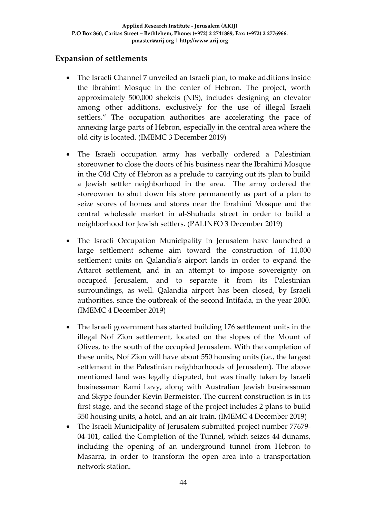# **Expansion of settlements**

- The Israeli Channel 7 unveiled an Israeli plan, to make additions inside the Ibrahimi Mosque in the center of Hebron. The project, worth approximately 500,000 shekels (NIS), includes designing an elevator among other additions, exclusively for the use of illegal Israeli settlers." The occupation authorities are accelerating the pace of annexing large parts of Hebron, especially in the central area where the old city is located. (IMEMC 3 December 2019)
- The Israeli occupation army has verbally ordered a Palestinian storeowner to close the doors of his business near the Ibrahimi Mosque in the Old City of Hebron as a prelude to carrying out its plan to build a Jewish settler neighborhood in the area. The army ordered the storeowner to shut down his store permanently as part of a plan to seize scores of homes and stores near the Ibrahimi Mosque and the central wholesale market in al-Shuhada street in order to build a neighborhood for Jewish settlers. (PALINFO 3 December 2019)
- The Israeli Occupation Municipality in Jerusalem have launched a large settlement scheme aim toward the construction of 11,000 settlement units on Qalandia's airport lands in order to expand the Attarot settlement, and in an attempt to impose sovereignty on occupied Jerusalem, and to separate it from its Palestinian surroundings, as well. Qalandia airport has been closed, by Israeli authorities, since the outbreak of the second Intifada, in the year 2000. (IMEMC 4 December 2019)
- The Israeli government has started building 176 settlement units in the illegal Nof Zion settlement, located on the slopes of the Mount of Olives, to the south of the occupied Jerusalem. With the completion of these units, Nof Zion will have about 550 housing units (i.e., the largest settlement in the Palestinian neighborhoods of Jerusalem). The above mentioned land was legally disputed, but was finally taken by Israeli businessman Rami Levy, along with Australian Jewish businessman and Skype founder Kevin Bermeister. The current construction is in its first stage, and the second stage of the project includes 2 plans to build 350 housing units, a hotel, and an air train. (IMEMC 4 December 2019)
- The Israeli Municipality of Jerusalem submitted project number 77679- 04-101, called the Completion of the Tunnel, which seizes 44 dunams, including the opening of an underground tunnel from Hebron to Masarra, in order to transform the open area into a transportation network station.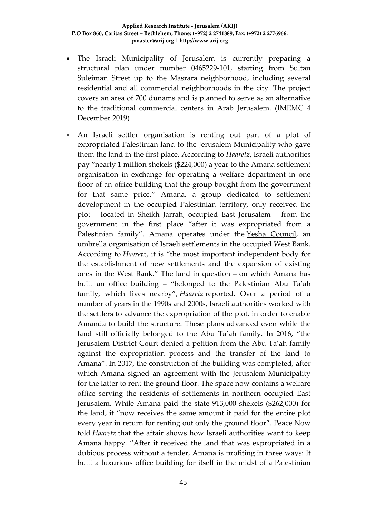- The Israeli Municipality of Jerusalem is currently preparing a structural plan under number 0465229-101, starting from Sultan Suleiman Street up to the Masrara neighborhood, including several residential and all commercial neighborhoods in the city. The project covers an area of 700 dunams and is planned to serve as an alternative to the traditional commercial centers in Arab Jerusalem. (IMEMC 4 December 2019)
- An Israeli settler organisation is renting out part of a plot of expropriated Palestinian land to the Jerusalem Municipality who gave them the land in the first place. According to *[Haaretz](https://www.haaretz.com/israel-news/.premium-settlers-rent-to-jerusalem-municipality-expropriated-palestinian-plot-of-land-1.8220218)*, Israeli authorities pay "nearly 1 million shekels (\$224,000) a year to the Amana settlement organisation in exchange for operating a welfare department in one floor of an office building that the group bought from the government for that same price." Amana, a group dedicated to settlement development in the occupied Palestinian territory, only received the plot – located in Sheikh Jarrah, occupied East Jerusalem – from the government in the first place "after it was expropriated from a Palestinian family". Amana operates under the Yesha [Council,](https://www.middleeastmonitor.com/20191105-newly-appointed-west-bank-settler-leader-vows-to-achieve-annexation/) an umbrella organisation of Israeli settlements in the occupied West Bank. According to *Haaretz*, it is "the most important independent body for the establishment of new settlements and the expansion of existing ones in the West Bank." The land in question – on which Amana has built an office building – "belonged to the Palestinian Abu Ta'ah family, which lives nearby", *Haaretz* reported. Over a period of a number of years in the 1990s and 2000s, Israeli authorities worked with the settlers to advance the expropriation of the plot, in order to enable Amanda to build the structure. These plans advanced even while the land still officially belonged to the Abu Ta'ah family. In 2016, "the Jerusalem District Court denied a petition from the Abu Ta'ah family against the expropriation process and the transfer of the land to Amana". In 2017, the construction of the building was completed, after which Amana signed an agreement with the Jerusalem Municipality for the latter to rent the ground floor. The space now contains a welfare office serving the residents of settlements in northern occupied East Jerusalem. While Amana paid the state 913,000 shekels (\$262,000) for the land, it "now receives the same amount it paid for the entire plot every year in return for renting out only the ground floor". Peace Now told *Haaretz* that the affair shows how Israeli authorities want to keep Amana happy. "After it received the land that was expropriated in a dubious process without a tender, Amana is profiting in three ways: It built a luxurious office building for itself in the midst of a Palestinian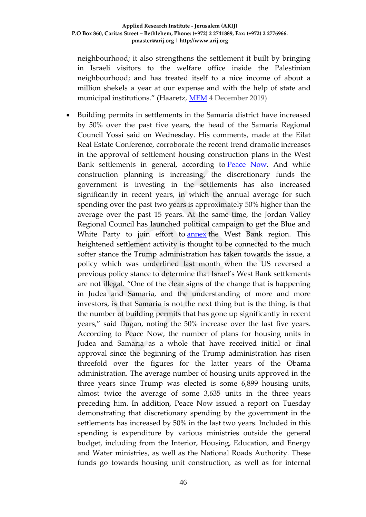neighbourhood; it also strengthens the settlement it built by bringing in Israeli visitors to the welfare office inside the Palestinian neighbourhood; and has treated itself to a nice income of about a million shekels a year at our expense and with the help of state and municipal institutions." (Haaretz, [MEM](https://www.middleeastmonitor.com/20191204-settlers-rent-out-expropriated-palestinian-land-to-jerusalem-municipality/) 4 December 2019)

• Building permits in settlements in the Samaria district have increased by 50% over the past five years, the head of the Samaria Regional Council Yossi said on Wednesday. His comments, made at the Eilat Real Estate Conference, corroborate the recent trend dramatic increases in the approval of settlement housing construction plans in the West Bank settlements in general, according to [Peace Now.](https://www.jpost.com/Tags/Peace-Now) And while construction planning is increasing, the discretionary funds the government is investing in the settlements has also increased significantly in recent years, in which the annual average for such spending over the past two years is approximately 50% higher than the average over the past 15 years. At the same time, the Jordan Valley Regional Council has launched political campaign to get the Blue and White Party to join effort to [annex](https://www.jpost.com/Israel-News/Netanyahu-approves-Jordan-Valley-annexation-bill-after-US-changes-policy-608333) the West Bank region. This heightened settlement activity is thought to be connected to the much softer stance the Trump administration has taken towards the issue, a policy which was underlined last month when the US reversed a previous policy stance to determine that Israel's West Bank settlements are not illegal. "One of the clear signs of the change that is happening in Judea and Samaria, and the understanding of more and more investors, is that Samaria is not the next thing but is the thing, is that the number of building permits that has gone up significantly in recent years," said Dagan, noting the 50% increase over the last five years. According to Peace Now, the number of plans for housing units in Judea and Samaria as a whole that have received initial or final approval since the beginning of the Trump administration has risen threefold over the figures for the latter years of the Obama administration. The average number of housing units approved in the three years since Trump was elected is some 6,899 housing units, almost twice the average of some 3,635 units in the three years preceding him. In addition, Peace Now issued a report on Tuesday demonstrating that discretionary spending by the government in the settlements has increased by 50% in the last two years. Included in this spending is expenditure by various ministries outside the general budget, including from the Interior, Housing, Education, and Energy and Water ministries, as well as the National Roads Authority. These funds go towards housing unit construction, as well as for internal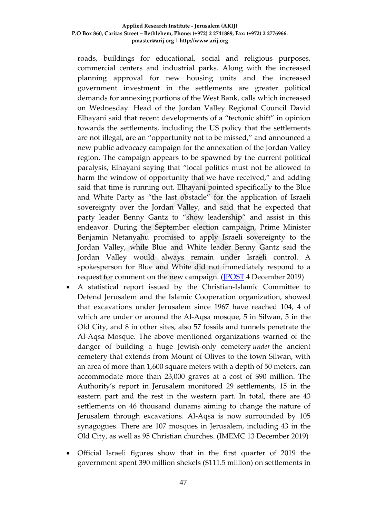roads, buildings for educational, social and religious purposes, commercial centers and industrial parks. Along with the increased planning approval for new housing units and the increased government investment in the settlements are greater political demands for annexing portions of the West Bank, calls which increased on Wednesday. Head of the Jordan Valley Regional Council David Elhayani said that recent developments of a "tectonic shift" in opinion towards the settlements, including the US policy that the settlements are not illegal, are an "opportunity not to be missed," and announced a new public advocacy campaign for the annexation of the Jordan Valley region. The campaign appears to be spawned by the current political paralysis, Elhayani saying that "local politics must not be allowed to harm the window of opportunity that we have received," and adding said that time is running out. Elhayani pointed specifically to the Blue and White Party as "the last obstacle" for the application of Israeli sovereignty over the Jordan Valley, and said that he expected that party leader Benny Gantz to "show leadership" and assist in this endeavor. During the September election campaign, Prime Minister Benjamin Netanyahu promised to apply Israeli sovereignty to the Jordan Valley, while Blue and White leader Benny Gantz said the Jordan Valley would always remain under Israeli control. A spokesperson for Blue and White did not immediately respond to a request for comment on the new campaign. (**IPOST** 4 December 2019)

- A statistical report issued by the Christian-Islamic Committee to Defend Jerusalem and the Islamic Cooperation organization, showed that excavations under Jerusalem since 1967 have reached 104, 4 of which are under or around the Al-Aqsa mosque, 5 in Silwan, 5 in the Old City, and 8 in other sites, also 57 fossils and tunnels penetrate the Al-Aqsa Mosque. The above mentioned organizations warned of the danger of building a huge Jewish-only cemetery *under* the ancient cemetery that extends from Mount of Olives to the town Silwan, with an area of more than 1,600 square meters with a depth of 50 meters, can accommodate more than 23,000 graves at a cost of \$90 million. The Authority's report in Jerusalem monitored 29 settlements, 15 in the eastern part and the rest in the western part. In total, there are 43 settlements on 46 thousand dunams aiming to change the nature of Jerusalem through excavations. Al-Aqsa is now surrounded by 105 synagogues. There are 107 mosques in Jerusalem, including 43 in the Old City, as well as 95 Christian churches. (IMEMC 13 December 2019)
- Official Israeli figures show that in the first quarter of 2019 the government spent 390 million shekels (\$111.5 million) on settlements in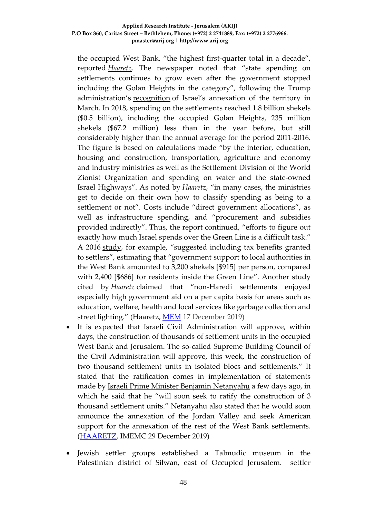the occupied West Bank, "the highest first-quarter total in a decade", reported *[Haaretz](https://www.haaretz.com/israel-news/business/.premium-israel-s-settlement-spending-rose-even-after-golan-heights-excluded-1.8283331)*. The newspaper noted that "state spending on settlements continues to grow even after the government stopped including the Golan Heights in the category", following the Trump administration's [recognition](https://www.middleeastmonitor.com/20190321-breaking-trump-says-time-for-us-to-recognize-israeli-sovereignty-over-golan/) of Israel's annexation of the territory in March. In 2018, spending on the settlements reached 1.8 billion shekels (\$0.5 billion), including the occupied Golan Heights, 235 million shekels (\$67.2 million) less than in the year before, but still considerably higher than the annual average for the period 2011-2016. The figure is based on calculations made "by the interior, education, housing and construction, transportation, agriculture and economy and industry ministries as well as the Settlement Division of the World Zionist Organization and spending on water and the state-owned Israel Highways". As noted by *Haaretz*, "in many cases, the ministries get to decide on their own how to classify spending as being to a settlement or not". Costs include "direct government allocations", as well as infrastructure spending, and "procurement and subsidies provided indirectly". Thus, the report continued, "efforts to figure out exactly how much Israel spends over the Green Line is a difficult task." A 2016 [study,](https://www.haaretz.com/israel-news/.premium-special-funding-for-israeli-settlements-soared-in-2015-1.5428135) for example, "suggested including tax benefits granted to settlers", estimating that "government support to local authorities in the West Bank amounted to 3,200 shekels [\$915] per person, compared with 2,400 [\$686] for residents inside the Green Line". Another study cited by *Haaretz* claimed that "non-Haredi settlements enjoyed especially high government aid on a per capita basis for areas such as education, welfare, health and local services like garbage collection and street lighting." (Haaretz, [MEM](https://www.middleeastmonitor.com/20191217-highest-ever-israel-spending-on-settlements-in-first-quarter-of-2019/) 17 December 2019)

- It is expected that Israeli Civil Administration will approve, within days, the construction of thousands of settlement units in the occupied West Bank and Jerusalem. The so-called Supreme Building Council of the Civil Administration will approve, this week, the construction of two thousand settlement units in isolated blocs and settlements." It stated that the ratification comes in implementation of statements made by [Israeli Prime Minister Benjamin Netanyahu](https://imemc.org/?s=netanyahu) a few days ago, in which he said that he "will soon seek to ratify the construction of 3 thousand settlement units." Netanyahu also stated that he would soon announce the annexation of the Jordan Valley and seek American support for the annexation of the rest of the West Bank settlements. [\(HAARETZ,](https://www.haaretz.com/israel-news/.premium-israel-to-advance-plans-for-2-000-homes-in-west-bank-settlements-1.8328011) IMEMC 29 December 2019)
- Jewish settler groups established a Talmudic museum in the Palestinian district of Silwan, east of Occupied Jerusalem. settler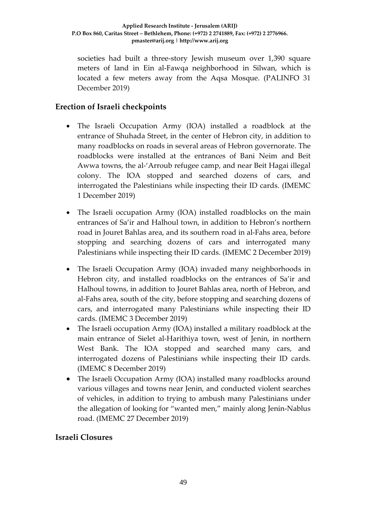societies had built a three-story Jewish museum over 1,390 square meters of land in Ein al-Fawqa neighborhood in Silwan, which is located a few meters away from the Aqsa Mosque. (PALINFO 31 December 2019)

# **Erection of Israeli checkpoints**

- The Israeli Occupation Army (IOA) installed a roadblock at the entrance of Shuhada Street, in the center of Hebron city, in addition to many roadblocks on roads in several areas of Hebron governorate. The roadblocks were installed at the entrances of Bani Neim and Beit Awwa towns, the al-'Arroub refugee camp, and near Beit Hagai illegal colony. The IOA stopped and searched dozens of cars, and interrogated the Palestinians while inspecting their ID cards. (IMEMC 1 December 2019)
- The Israeli occupation Army (IOA) installed roadblocks on the main entrances of Sa'ir and Halhoul town, in addition to Hebron's northern road in Jouret Bahlas area, and its southern road in al-Fahs area, before stopping and searching dozens of cars and interrogated many Palestinians while inspecting their ID cards. (IMEMC 2 December 2019)
- The Israeli Occupation Army (IOA) invaded many neighborhoods in Hebron city, and installed roadblocks on the entrances of Sa'ir and Halhoul towns, in addition to Jouret Bahlas area, north of Hebron, and al-Fahs area, south of the city, before stopping and searching dozens of cars, and interrogated many Palestinians while inspecting their ID cards. (IMEMC 3 December 2019)
- The Israeli occupation Army (IOA) installed a military roadblock at the main entrance of Sielet al-Harithiya town, west of Jenin, in northern West Bank. The IOA stopped and searched many cars, and interrogated dozens of Palestinians while inspecting their ID cards. (IMEMC 8 December 2019)
- The Israeli Occupation Army (IOA) installed many roadblocks around various villages and towns near Jenin, and conducted violent searches of vehicles, in addition to trying to ambush many Palestinians under the allegation of looking for "wanted men," mainly along Jenin-Nablus road. (IMEMC 27 December 2019)

# **Israeli Closures**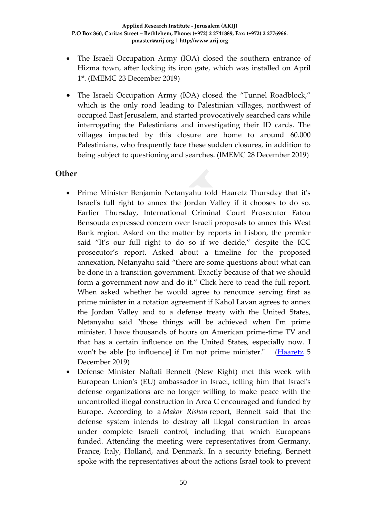- The Israeli Occupation Army (IOA) closed the southern entrance of Hizma town, after locking its iron gate, which was installed on April 1st. (IMEMC 23 December 2019)
- The Israeli Occupation Army (IOA) closed the "Tunnel Roadblock," which is the only road leading to Palestinian villages, northwest of occupied East Jerusalem, and started provocatively searched cars while interrogating the Palestinians and investigating their ID cards. The villages impacted by this closure are home to around 60.000 Palestinians, who frequently face these sudden closures, in addition to being subject to questioning and searches. (IMEMC 28 December 2019)

## **Other**

- Prime Minister Benjamin Netanyahu told Haaretz Thursday that it's Israel's full right to annex the Jordan Valley if it chooses to do so. Earlier Thursday, International Criminal Court Prosecutor Fatou Bensouda [expressed concern over Israeli proposals](https://www.haaretz.com/israel-news/.premium-icc-prosecutor-concerned-about-israeli-proposals-to-annex-jordan-valley-1.8226040) to annex this West Bank region. Asked on the matter by reports in Lisbon, the premier said "It's our full right to do so if we decide," despite the ICC prosecutor's report. Asked about a timeline for the proposed annexation, Netanyahu said "there are some questions about what can be done in a transition government. Exactly because of that we should form a government now and do it." [Click here to read the full report.](https://www.haaretz.com/embeds/pdf_upload/2019/20191205-170842.pdf) When asked whether he would agree to renounce serving first as prime minister in a rotation agreement if Kahol Lavan agrees to annex the Jordan Valley and to a defense treaty with the United States, Netanyahu said "those things will be achieved when I'm prime minister. I have thousands of hours on American prime-time TV and that has a certain influence on the United States, especially now. I won't be able [to influence] if I'm not prime minister." [\(Haaretz](https://www.haaretz.com/israel-news/.premium-netanyahu-says-our-full-right-to-annex-jordan-valley-despite-icc-prosecutor-report-1.8227174) 5 December 2019)
- Defense Minister Naftali Bennett (New Right) met this week with European Union's (EU) ambassador in Israel, telling him that Israel's defense organizations are no longer willing to make peace with the uncontrolled illegal construction in Area C encouraged and funded by Europe. According to a *Makor Rishon* report, Bennett said that the defense system intends to destroy all illegal construction in areas under complete Israeli control, including that which Europeans funded. Attending the meeting were representatives from Germany, France, Italy, Holland, and Denmark. In a security briefing, Bennett spoke with the representatives about the actions Israel took to prevent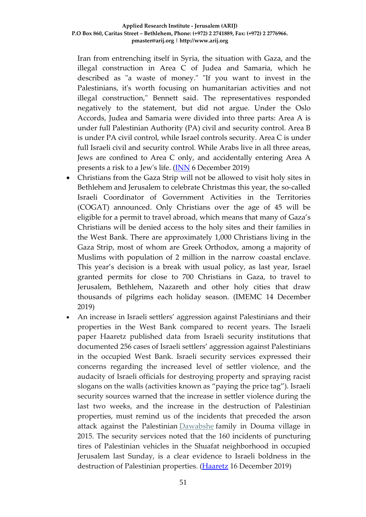Iran from entrenching itself in Syria, the situation with Gaza, and the illegal construction in Area C of Judea and Samaria, which he described as "a waste of money." "If you want to invest in the Palestinians, it's worth focusing on humanitarian activities and not illegal construction," Bennett said. The representatives responded negatively to the statement, but did not argue. Under the Oslo Accords, Judea and Samaria were divided into three parts: Area A is under full Palestinian Authority (PA) civil and security control. Area B is under PA civil control, while Israel controls security. Area C is under full Israeli civil and security control. While Arabs live in all three areas, Jews are confined to Area C only, and accidentally entering Area A presents a risk to a Jew's life. [\(INN](http://www.israelnationalnews.com/News/News.aspx/272794) 6 December 2019)

- Christians from the Gaza Strip will not be allowed to visit holy sites in Bethlehem and Jerusalem to celebrate Christmas this year, the so-called Israeli Coordinator of Government Activities in the Territories (COGAT) announced. Only Christians over the age of 45 will be eligible for a permit to travel abroad, which means that many of Gaza's Christians will be denied access to the holy sites and their families in the West Bank. There are approximately 1,000 Christians living in the Gaza Strip, most of whom are Greek Orthodox, among a majority of Muslims with population of 2 million in the narrow coastal enclave. This year's decision is a break with usual policy, as last year, Israel granted permits for close to 700 Christians in Gaza, to travel to Jerusalem, Bethlehem, Nazareth and other holy cities that draw thousands of pilgrims each holiday season. (IMEMC 14 December 2019)
- An increase in Israeli settlers' aggression against Palestinians and their properties in the West Bank compared to recent years. The Israeli paper Haaretz published data from Israeli security institutions that documented 256 cases of Israeli settlers' aggression against Palestinians in the occupied West Bank. Israeli security services expressed their concerns regarding the increased level of settler violence, and the audacity of Israeli officials for destroying property and spraying racist slogans on the walls (activities known as "paying the price tag"). Israeli security sources warned that the increase in settler violence during the last two weeks, and the increase in the destruction of Palestinian properties, must remind us of the incidents that preceded the arson attack against the Palestinian [Dawabshe](http://imemc.org/article/72935/) family in Douma village in 2015. The security services noted that the 160 incidents of puncturing tires of Palestinian vehicles in the Shuafat neighborhood in occupied Jerusalem last Sunday, is a clear evidence to Israeli boldness in the destruction of Palestinian properties. [\(Haaretz](https://www.haaretz.com/israel-news/.premium-hate-crimes-against-palestinians-were-more-brazen-in-2019-1.8266246) 16 December 2019)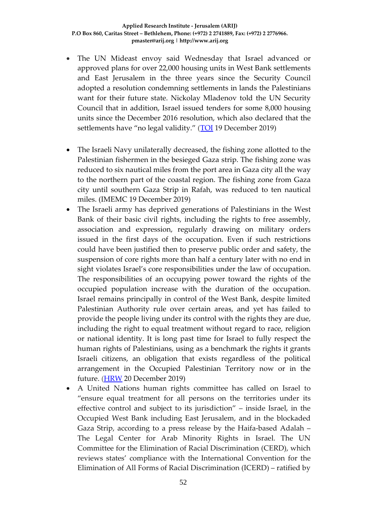- The UN Mideast envoy said Wednesday that Israel advanced or approved plans for over 22,000 housing units in West Bank settlements and East Jerusalem in the three years since the Security Council adopted a resolution condemning settlements in lands the Palestinians want for their future state. Nickolay Mladenov told the UN Security Council that in addition, Israel issued tenders for some 8,000 housing units since the December 2016 resolution, which also declared that the settlements have "no legal validity." [\(TOI](https://www.timesofisrael.com/un-israel-has-advanced-22000-housing-units-since-2016-anti-settlement-measure/) 19 December 2019)
- The Israeli Navy unilaterally decreased, the fishing zone allotted to the Palestinian fishermen in the besieged Gaza strip. The fishing zone was reduced to six nautical miles from the port area in Gaza city all the way to the northern part of the coastal region. The fishing zone from Gaza city until southern Gaza Strip in Rafah, was reduced to ten nautical miles. (IMEMC 19 December 2019)
- The Israeli army has deprived generations of Palestinians in the West Bank of their basic civil rights, including the rights to free assembly, association and expression, regularly drawing on military orders issued in the first days of the occupation. Even if such restrictions could have been justified then to preserve public order and safety, the suspension of core rights more than half a century later with no end in sight violates Israel's core responsibilities under the law of occupation. The responsibilities of an occupying power toward the rights of the occupied population increase with the duration of the occupation. Israel remains principally in control of the West Bank, despite limited Palestinian Authority rule over certain areas, and yet has failed to provide the people living under its control with the rights they are due, including the right to equal treatment without regard to race, religion or national identity. It is long past time for Israel to fully respect the human rights of Palestinians, using as a benchmark the rights it grants Israeli citizens, an obligation that exists regardless of the political arrangement in the Occupied Palestinian Territory now or in the future. [\(HRW](https://www.hrw.org/report/2019/12/17/born-without-civil-rights/israels-use-draconian-military-orders-repress) 20 December 2019)
- A United Nations human rights committee has called on Israel to "ensure equal treatment for all persons on the territories under its effective control and subject to its jurisdiction" – inside Israel, in the Occupied West Bank including East Jerusalem, and in the blockaded Gaza Strip, according to a press release by the Haifa-based Adalah – The Legal Center for Arab Minority Rights in Israel. The UN Committee for the Elimination of Racial Discrimination (CERD), which reviews states' compliance with the International Convention for the Elimination of All Forms of Racial Discrimination (ICERD) – ratified by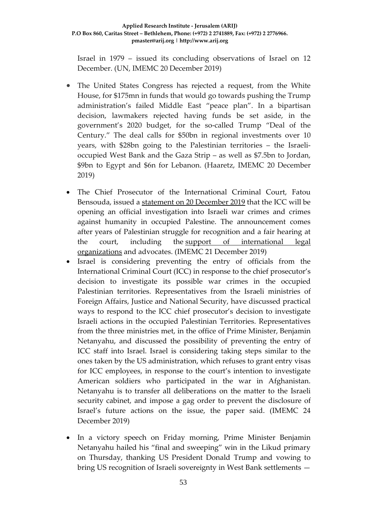Israel in 1979 – issued its concluding observations of Israel on 12 December. (UN, IMEMC 20 December 2019)

- The United States Congress has rejected a request, from the White House, for \$175mn in funds that would go towards pushing the Trump administration's failed Middle East "peace plan". In a bipartisan decision, lawmakers rejected having funds be set aside, in the government's 2020 budget, for the so-called Trump "Deal of the Century." The deal calls for \$50bn in regional investments over 10 years, with \$28bn going to the Palestinian territories – the Israelioccupied West Bank and the Gaza Strip – as well as \$7.5bn to Jordan, \$9bn to Egypt and \$6n for Lebanon. (Haaretz, IMEMC 20 December 2019)
- The Chief Prosecutor of the International Criminal Court, Fatou Bensouda, issued a [statement on 20 December 2019](https://youtu.be/B51f1jyIwsI) that the ICC will be opening an official investigation into Israeli war crimes and crimes against humanity in occupied Palestine. The announcement comes after years of Palestinian struggle for recognition and a fair hearing at the court, including the [support of international legal](https://iadllaw.org/2018/09/international-lawyers-campaign-for-the-investigation-and-prosecution-of-the-crimes-committed-against-the-palestinian-people/)  [organizations](https://iadllaw.org/2018/09/international-lawyers-campaign-for-the-investigation-and-prosecution-of-the-crimes-committed-against-the-palestinian-people/) and advocates. (IMEMC 21 December 2019)
- Israel is considering preventing the entry of officials from the International Criminal Court (ICC) in response to the chief prosecutor's decision to investigate its possible war crimes in the occupied Palestinian territories. Representatives from the Israeli ministries of Foreign Affairs, Justice and National Security, have discussed practical ways to respond to the ICC chief prosecutor's decision to investigate Israeli actions in the occupied Palestinian Territories. Representatives from the three ministries met, in the office of Prime Minister, Benjamin Netanyahu, and discussed the possibility of preventing the entry of ICC staff into Israel. Israel is considering taking steps similar to the ones taken by the US administration, which refuses to grant entry visas for ICC employees, in response to the court's intention to investigate American soldiers who participated in the war in Afghanistan. Netanyahu is to transfer all deliberations on the matter to the Israeli security cabinet, and impose a gag order to prevent the disclosure of Israel's future actions on the issue, the paper said. (IMEMC 24 December 2019)
- In a victory speech on Friday morning, Prime Minister Benjamin Netanyahu hailed his "final and sweeping" win in the Likud primary on Thursday, thanking US President Donald Trump and vowing to bring US recognition of Israeli sovereignty in West Bank settlements —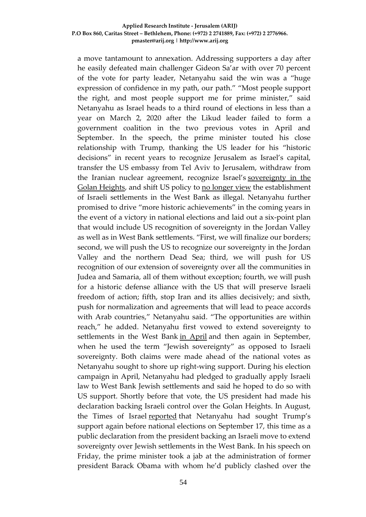a move tantamount to annexation. Addressing supporters a day after he easily defeated main challenger Gideon Sa'ar with over 70 percent of the vote for party leader, Netanyahu said the win was a "huge expression of confidence in my path, our path." "Most people support the right, and most people support me for prime minister," said Netanyahu as Israel heads to a third round of elections in less than a year on March 2, 2020 after the Likud leader failed to form a government coalition in the two previous votes in April and September. In the speech, the prime minister touted his close relationship with Trump, thanking the US leader for his "historic decisions" in recent years to recognize Jerusalem as Israel's capital, transfer the US embassy from Tel Aviv to Jerusalem, withdraw from the Iranian nuclear agreement, recognize Israel's [sovereignty](https://www.timesofisrael.com/netanyahu-says-hell-name-golan-heights-town-after-trump/) in the Golan [Heights,](https://www.timesofisrael.com/netanyahu-says-hell-name-golan-heights-town-after-trump/) and shift US policy to no [longer](https://www.timesofisrael.com/in-pivot-us-says-israeli-settlements-not-inconsistent-with-international-law/) view the establishment of Israeli settlements in the West Bank as illegal. Netanyahu further promised to drive "more historic achievements" in the coming years in the event of a victory in national elections and laid out a six-point plan that would include US recognition of sovereignty in the Jordan Valley as well as in West Bank settlements. "First, we will finalize our borders; second, we will push the US to recognize our sovereignty in the Jordan Valley and the northern Dead Sea; third, we will push for US recognition of our extension of sovereignty over all the communities in Judea and Samaria, all of them without exception; fourth, we will push for a historic defense alliance with the US that will preserve Israeli freedom of action; fifth, stop Iran and its allies decisively; and sixth, push for normalization and agreements that will lead to peace accords with Arab countries," Netanyahu said. "The opportunities are within reach," he added. Netanyahu first vowed to extend sovereignty to settlements in the West Bank in [April](https://www.timesofisrael.com/netanyahu-if-im-re-elected-ill-extend-sovereignty-to-west-bank-settlements/) and then again in September, when he used the term "Jewish sovereignty" as opposed to Israeli sovereignty. Both claims were made ahead of the national votes as Netanyahu sought to shore up right-wing support. During his election campaign in April, Netanyahu had pledged to gradually apply Israeli law to West Bank Jewish settlements and said he hoped to do so with US support. Shortly before that vote, the US president had made his declaration backing Israeli control over the Golan Heights. In August, the Times of Israel [reported](https://www.timesofisrael.com/before-elections-pm-wants-trump-to-back-israeli-sovereignty-over-settlements/) that Netanyahu had sought Trump's support again before national elections on September 17, this time as a public declaration from the president backing an Israeli move to extend sovereignty over Jewish settlements in the West Bank. In his speech on Friday, the prime minister took a jab at the administration of former president Barack Obama with whom he'd publicly clashed over the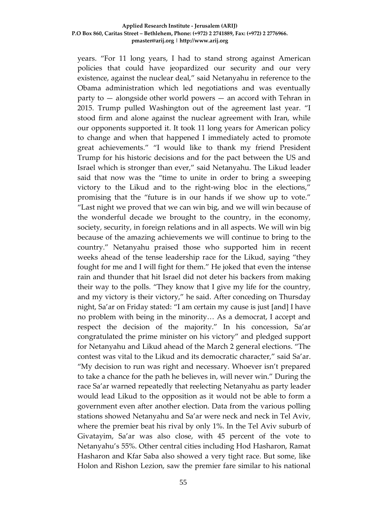years. "For 11 long years, I had to stand strong against American policies that could have jeopardized our security and our very existence, against the nuclear deal," said Netanyahu in reference to the Obama administration which led negotiations and was eventually party to — alongside other world powers — an accord with Tehran in 2015. Trump pulled Washington out of the agreement last year. "I stood firm and alone against the nuclear agreement with Iran, while our opponents supported it. It took 11 long years for American policy to change and when that happened I immediately acted to promote great achievements." "I would like to thank my friend President Trump for his historic decisions and for the pact between the US and Israel which is stronger than ever," said Netanyahu. The Likud leader said that now was the "time to unite in order to bring a sweeping victory to the Likud and to the right-wing bloc in the elections," promising that the "future is in our hands if we show up to vote." "Last night we proved that we can win big, and we will win because of the wonderful decade we brought to the country, in the economy, society, security, in foreign relations and in all aspects. We will win big because of the amazing achievements we will continue to bring to the country." Netanyahu praised those who supported him in recent weeks ahead of the tense leadership race for the Likud, saying "they fought for me and I will fight for them." He joked that even the intense rain and thunder that hit Israel did not deter his backers from making their way to the polls. "They know that I give my life for the country, and my victory is their victory," he said. After conceding on Thursday night, Sa'ar on Friday stated: "I am certain my cause is just [and] I have no problem with being in the minority… As a democrat, I accept and respect the decision of the majority." In his concession, Sa'ar congratulated the prime minister on his victory" and pledged support for Netanyahu and Likud ahead of the March 2 general elections. "The contest was vital to the Likud and its democratic character," said Sa'ar. "My decision to run was right and necessary. Whoever isn't prepared to take a chance for the path he believes in, will never win." During the race Sa'ar warned repeatedly that reelecting Netanyahu as party leader would lead Likud to the opposition as it would not be able to form a government even after another election. Data from the various polling stations showed Netanyahu and Sa'ar were neck and neck in Tel Aviv, where the premier beat his rival by only 1%. In the Tel Aviv suburb of Givatayim, Sa'ar was also close, with 45 percent of the vote to Netanyahu's 55%. Other central cities including Hod Hasharon, Ramat Hasharon and Kfar Saba also showed a very tight race. But some, like Holon and Rishon Lezion, saw the premier fare similar to his national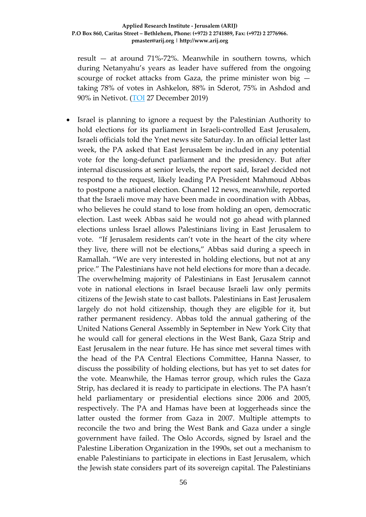result — at around 71%-72%. Meanwhile in southern towns, which during Netanyahu's years as leader have suffered from the ongoing scourge of rocket attacks from Gaza, the prime minister won big taking 78% of votes in Ashkelon, 88% in Sderot, 75% in Ashdod and 90% in Netivot. [\(TOI](https://www.timesofisrael.com/netanyahu-thanks-trump-vows-us-recognition-of-israeli-sovereignty-in-west-bank/) 27 December 2019)

• Israel is planning to ignore a request by the Palestinian Authority to hold elections for its parliament in Israeli-controlled East Jerusalem, Israeli officials told the Ynet news site Saturday. In an official letter last week, the PA asked that East Jerusalem be included in any potential vote for the long-defunct parliament and the presidency. But after internal discussions at senior levels, the report said, Israel decided not respond to the request, likely leading PA President Mahmoud Abbas to postpone a national election. Channel 12 news, meanwhile, reported that the Israeli move may have been made in coordination with Abbas, who believes he could stand to lose from holding an open, democratic election. Last week Abbas said he would not go ahead with planned elections unless Israel allows Palestinians living in East Jerusalem to vote. "If Jerusalem residents can't vote in the heart of the city where they live, there will not be elections," Abbas said during a speech in Ramallah. "We are very interested in holding elections, but not at any price." The Palestinians have not held elections for more than a decade. The overwhelming majority of Palestinians in East Jerusalem cannot vote in national elections in Israel because Israeli law only permits citizens of the Jewish state to cast ballots. Palestinians in East Jerusalem largely do not hold citizenship, though they are eligible for it, but rather permanent residency. Abbas told the annual gathering of the United Nations General Assembly in September in New York City that he would call for general elections in the West Bank, Gaza Strip and East Jerusalem in the near future. He has since met several times with the head of the PA Central Elections Committee, Hanna Nasser, to discuss the possibility of holding elections, but has yet to set dates for the vote. Meanwhile, the Hamas terror group, which rules the Gaza Strip, has declared it is ready to participate in elections. The PA hasn't held parliamentary or presidential elections since 2006 and 2005, respectively. The PA and Hamas have been at loggerheads since the latter ousted the former from Gaza in 2007. Multiple attempts to reconcile the two and bring the West Bank and Gaza under a single government have failed. The Oslo Accords, signed by Israel and the Palestine Liberation Organization in the 1990s, set out a mechanism to enable Palestinians to participate in elections in East Jerusalem, which the Jewish state considers part of its sovereign capital. The Palestinians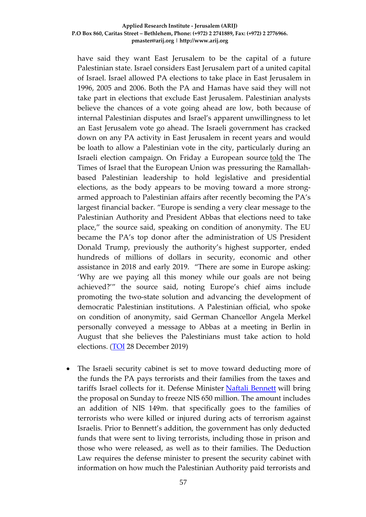have said they want East Jerusalem to be the capital of a future Palestinian state. Israel considers East Jerusalem part of a united capital of Israel. Israel allowed PA elections to take place in East Jerusalem in 1996, 2005 and 2006. Both the PA and Hamas have said they will not take part in elections that exclude East Jerusalem. Palestinian analysts believe the chances of a vote going ahead are low, both because of internal Palestinian disputes and Israel's apparent unwillingness to let an East Jerusalem vote go ahead. The Israeli government has cracked down on any PA activity in East Jerusalem in recent years and would be loath to allow a Palestinian vote in the city, particularly during an Israeli election campaign. On Friday a European source [told](https://www.timesofisrael.com/eu-including-germanys-merkel-pressuring-palestinians-to-hold-elections/) the The Times of Israel that the European Union was pressuring the Ramallahbased Palestinian leadership to hold legislative and presidential elections, as the body appears to be moving toward a more strongarmed approach to Palestinian affairs after recently becoming the PA's largest financial backer. "Europe is sending a very clear message to the Palestinian Authority and President Abbas that elections need to take place," the source said, speaking on condition of anonymity. The EU became the PA's top donor after the administration of US President Donald Trump, previously the authority's highest supporter, ended hundreds of millions of dollars in security, economic and other assistance in 2018 and early 2019. "There are some in Europe asking: 'Why are we paying all this money while our goals are not being achieved?'" the source said, noting Europe's chief aims include promoting the two-state solution and advancing the development of democratic Palestinian institutions. A Palestinian official, who spoke on condition of anonymity, said German Chancellor Angela Merkel personally conveyed a message to Abbas at a meeting in Berlin in August that she believes the Palestinians must take action to hold elections. [\(TOI](https://www.timesofisrael.com/report-israel-to-ignore-pa-request-to-hold-elections-in-east-jerusalem/) 28 December 2019)

• The Israeli security cabinet is set to move toward deducting more of the funds the PA pays terrorists and their families from the taxes and tariffs Israel collects for it. Defense Minister [Naftali Bennett](https://www.jpost.com/Israel-News/Naftali-Bennett-approves-new-Jewish-neighborhood-in-Hebron-609530) will bring the proposal on Sunday to freeze NIS 650 million. The amount includes an addition of NIS 149m. that specifically goes to the families of terrorists who were killed or injured during acts of terrorism against Israelis. Prior to Bennett's addition, the government has only deducted funds that were sent to living terrorists, including those in prison and those who were released, as well as to their families. The Deduction Law requires the defense minister to present the security cabinet with information on how much the Palestinian Authority paid terrorists and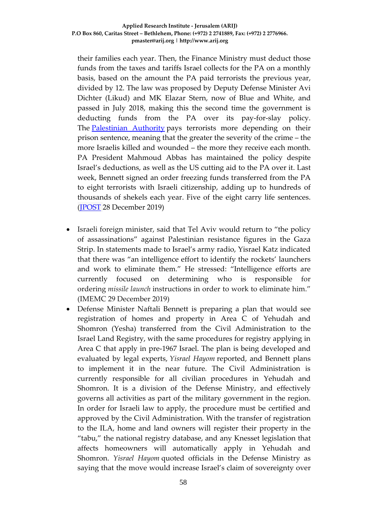their families each year. Then, the Finance Ministry must deduct those funds from the taxes and tariffs Israel collects for the PA on a monthly basis, based on the amount the PA paid terrorists the previous year, divided by 12. The law was proposed by Deputy Defense Minister Avi Dichter (Likud) and MK Elazar Stern, now of Blue and White, and passed in July 2018, making this the second time the government is deducting funds from the PA over its pay-for-slay policy. The [Palestinian Authority](https://www.jpost.com/Middle-East/Palestinians-can-claim-restitution-for-occupation-160-UN-nations-say-611528) pays terrorists more depending on their prison sentence, meaning that the greater the severity of the crime – the more Israelis killed and wounded – the more they receive each month. PA President Mahmoud Abbas has maintained the policy despite Israel's deductions, as well as the US cutting aid to the PA over it. Last week, Bennett signed an order freezing funds transferred from the PA to eight terrorists with Israeli citizenship, adding up to hundreds of thousands of shekels each year. Five of the eight carry life sentences. [\(JPOST](https://www.jpost.com/Israel-News/Bennett-freezes-NIS-150-million-in-pay-for-slay-funds-612387) 28 December 2019)

- Israeli foreign minister, said that Tel Aviv would return to "the policy of assassinations" against Palestinian resistance figures in the Gaza Strip. In statements made to Israel's army radio, Yisrael Katz indicated that there was "an intelligence effort to identify the rockets' launchers and work to eliminate them." He stressed: "Intelligence efforts are currently focused on determining who is responsible for ordering *missile launch* instructions in order to work to eliminate him." (IMEMC 29 December 2019)
- Defense Minister Naftali Bennett is preparing a plan that would see registration of homes and property in Area C of Yehudah and Shomron (Yesha) transferred from the Civil Administration to the Israel Land Registry, with the same procedures for registry applying in Area C that apply in pre-1967 Israel. The plan is being developed and evaluated by legal experts, *Yisrael Hayom* reported, and Bennett plans to implement it in the near future. The Civil Administration is currently responsible for all civilian procedures in Yehudah and Shomron. It is a division of the Defense Ministry, and effectively governs all activities as part of the military government in the region. In order for Israeli law to apply, the procedure must be certified and approved by the Civil Administration. With the transfer of registration to the ILA, home and land owners will register their property in the "tabu," the national registry database, and any Knesset legislation that affects homeowners will automatically apply in Yehudah and Shomron. *Yisrael Hayom* quoted officials in the Defense Ministry as saying that the move would increase Israel's claim of sovereignty over